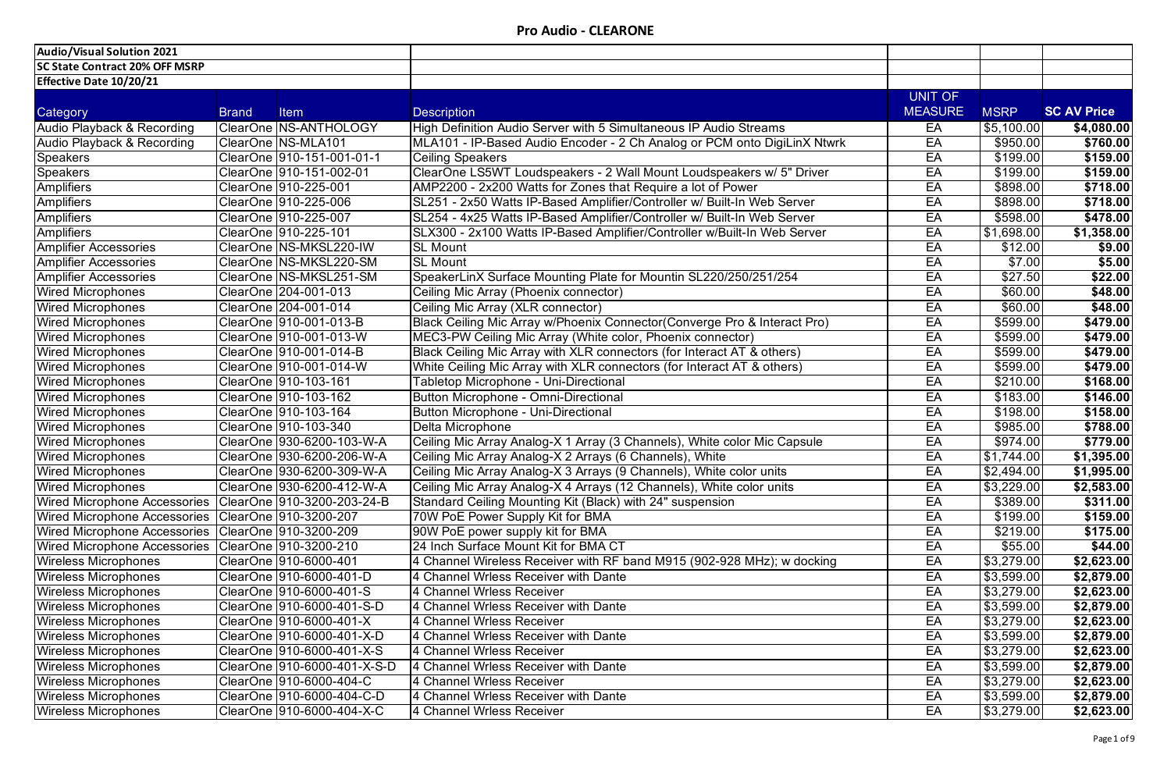| Audio/Visual Solution 2021            |              |                              |                                                                          |                |                    |                    |
|---------------------------------------|--------------|------------------------------|--------------------------------------------------------------------------|----------------|--------------------|--------------------|
| <b>SC State Contract 20% OFF MSRP</b> |              |                              |                                                                          |                |                    |                    |
| <b>Effective Date 10/20/21</b>        |              |                              |                                                                          |                |                    |                    |
|                                       |              |                              |                                                                          | UNIT OF        |                    |                    |
| Category                              | <b>Brand</b> | <b>Item</b>                  | <b>Description</b>                                                       | <b>MEASURE</b> | <b>MSRP</b>        | <b>SC AV Price</b> |
| <b>Audio Playback &amp; Recording</b> |              | ClearOne NS-ANTHOLOGY        | High Definition Audio Server with 5 Simultaneous IP Audio Streams        | EA             | \$5,100.00         | \$4,080.00         |
| Audio Playback & Recording            |              | ClearOne   NS-MLA101         | MLA101 - IP-Based Audio Encoder - 2 Ch Analog or PCM onto DigiLinX Ntwrk | EA             | \$950.00           | \$760.00           |
| <b>Speakers</b>                       |              | ClearOne 910-151-001-01-1    | <b>Ceiling Speakers</b>                                                  | EA             | \$199.00           | \$159.00           |
| <b>Speakers</b>                       |              | ClearOne   910-151-002-01    | ClearOne LS5WT Loudspeakers - 2 Wall Mount Loudspeakers w/ 5" Driver     | EA             | \$199.00           | \$159.00           |
| <b>Amplifiers</b>                     |              | ClearOne   910-225-001       | AMP2200 - 2x200 Watts for Zones that Require a lot of Power              | EA             | \$898.00           | \$718.00           |
| Amplifiers                            |              | ClearOne 910-225-006         | SL251 - 2x50 Watts IP-Based Amplifier/Controller w/ Built-In Web Server  | EA             | \$898.00           | \$718.00           |
| Amplifiers                            |              | ClearOne   910-225-007       | SL254 - 4x25 Watts IP-Based Amplifier/Controller w/ Built-In Web Server  | EA             | \$598.00           | \$478.00           |
| <b>Amplifiers</b>                     |              |                              | SLX300 - 2x100 Watts IP-Based Amplifier/Controller w/Built-In Web Server | EA             | \$1,698.00         | \$1,358.00         |
| Amplifier Accessories                 |              | ClearOne NS-MKSL220-IW       | <b>SL Mount</b>                                                          | EA             | \$12.00            | \$9.00             |
| Amplifier Accessories                 |              | ClearOne   NS-MKSL220-SM     | <b>SL Mount</b>                                                          | EA             | \$7.00             | \$5.00             |
| <b>Amplifier Accessories</b>          |              | ClearOne NS-MKSL251-SM       | SpeakerLinX Surface Mounting Plate for Mountin SL220/250/251/254         | EA             | \$27.50            | \$22.00            |
| <b>Wired Microphones</b>              |              | ClearOne 204-001-013         | Ceiling Mic Array (Phoenix connector)                                    | EA             | \$60.00            | \$48.00            |
| <b>Wired Microphones</b>              |              | ClearOne 204-001-014         | Ceiling Mic Array (XLR connector)                                        | EA             | \$60.00            | \$48.00            |
| <b>Wired Microphones</b>              |              | ClearOne   910-001-013-B     | Black Ceiling Mic Array w/Phoenix Connector(Converge Pro & Interact Pro) | EA             | \$599.00           | \$479.00           |
| <b>Wired Microphones</b>              |              | ClearOne  910-001-013-W      | MEC3-PW Ceiling Mic Array (White color, Phoenix connector)               | EA             | \$599.00           | \$479.00           |
| <b>Wired Microphones</b>              |              | ClearOne   910-001-014-B     | Black Ceiling Mic Array with XLR connectors (for Interact AT & others)   | EA             | \$599.00           | \$479.00           |
| <b>Wired Microphones</b>              |              | ClearOne   910-001-014-W     | White Ceiling Mic Array with XLR connectors (for Interact AT & others)   | EA             | \$599.00           | \$479.00           |
| <b>Wired Microphones</b>              |              | ClearOne  910-103-161        | Tabletop Microphone - Uni-Directional                                    | EA             | \$210.00           | \$168.00           |
| <b>Wired Microphones</b>              |              | ClearOne 910-103-162         | Button Microphone - Omni-Directional                                     | EA             | \$183.00           | \$146.00           |
| <b>Wired Microphones</b>              |              | ClearOne   910-103-164       | Button Microphone - Uni-Directional                                      | EA             | \$198.00           | \$158.00           |
| <b>Wired Microphones</b>              |              | ClearOne   910-103-340       | Delta Microphone                                                         | EA             | \$985.00           | \$788.00           |
| <b>Wired Microphones</b>              |              | ClearOne   930-6200-103-W-A  | Ceiling Mic Array Analog-X 1 Array (3 Channels), White color Mic Capsule | EA             | \$974.00           | \$779.00           |
| <b>Wired Microphones</b>              |              | ClearOne   930-6200-206-W-A  | Ceiling Mic Array Analog-X 2 Arrays (6 Channels), White                  | EA             | \$1,744.00         | \$1,395.00         |
| <b>Wired Microphones</b>              |              | ClearOne 930-6200-309-W-A    | Ceiling Mic Array Analog-X 3 Arrays (9 Channels), White color units      | EÄ             | \$2,494.00         | \$1,995.00         |
| <b>Wired Microphones</b>              |              | ClearOne   930-6200-412-W-A  | Ceiling Mic Array Analog-X 4 Arrays (12 Channels), White color units     | EA             | \$3,229.00         | \$2,583.00         |
| <b>Wired Microphone Accessories</b>   |              | ClearOne   910-3200-203-24-B | Standard Ceiling Mounting Kit (Black) with 24" suspension                | EA             | \$389.00           | \$311.00           |
| <b>Wired Microphone Accessories</b>   |              | ClearOne   910-3200-207      | 70W PoE Power Supply Kit for BMA                                         | EA             | \$199.00           | \$159.00           |
| <b>Wired Microphone Accessories</b>   |              | ClearOne   910-3200-209      | 90W PoE power supply kit for BMA                                         | EA             | \$219.00           | \$175.00           |
| <b>Wired Microphone Accessories</b>   |              | ClearOne 910-3200-210        | 24 Inch Surface Mount Kit for BMA CT                                     | EA             | \$55.00            | \$44.00            |
| Wireless Microphones                  |              | ClearOne   910-6000-401      | 4 Channel Wireless Receiver with RF band M915 (902-928 MHz); w docking   | EA             | \$3,279.00         | \$2,623.00         |
| <b>Wireless Microphones</b>           |              | ClearOne   910-6000-401-D    | 4 Channel Wrless Receiver with Dante                                     | EA             | \$3,599.00         | \$2,879.00         |
| <b>Wireless Microphones</b>           |              | ClearOne   910-6000-401-S    | 4 Channel Wrless Receiver                                                | EA             | \$3,279.00         | \$2,623.00         |
| <b>Wireless Microphones</b>           |              | ClearOne  910-6000-401-S-D   | 4 Channel Wrless Receiver with Dante                                     | EA             | \$3,599.00         | \$2,879.00         |
| <b>Wireless Microphones</b>           |              | ClearOne   910-6000-401-X    | 4 Channel Wrless Receiver                                                | EA             | $\sqrt{$3,279.00}$ | \$2,623.00         |
| <b>Wireless Microphones</b>           |              | ClearOne 910-6000-401-X-D    | 4 Channel Wrless Receiver with Dante                                     | EA             | \$3,599.00         | \$2,879.00         |
| <b>Wireless Microphones</b>           |              | ClearOne   910-6000-401-X-S  | 4 Channel Wrless Receiver                                                | EA             | \$3,279.00         | \$2,623.00         |
| <b>Wireless Microphones</b>           |              | ClearOne 910-6000-401-X-S-D  | 4 Channel Wrless Receiver with Dante                                     | EA             | \$3,599.00         | \$2,879.00         |
| <b>Wireless Microphones</b>           |              | ClearOne   910-6000-404-C    | 4 Channel Wrless Receiver                                                | EA             | \$3,279.00         | \$2,623.00         |
| <b>Wireless Microphones</b>           |              | ClearOne   910-6000-404-C-D  | 4 Channel Wrless Receiver with Dante                                     | EA             | \$3,599.00         | \$2,879.00         |
| <b>Wireless Microphones</b>           |              | ClearOne   910-6000-404-X-C  | 4 Channel Wrless Receiver                                                | EA             | \$3,279.00         | \$2,623.00         |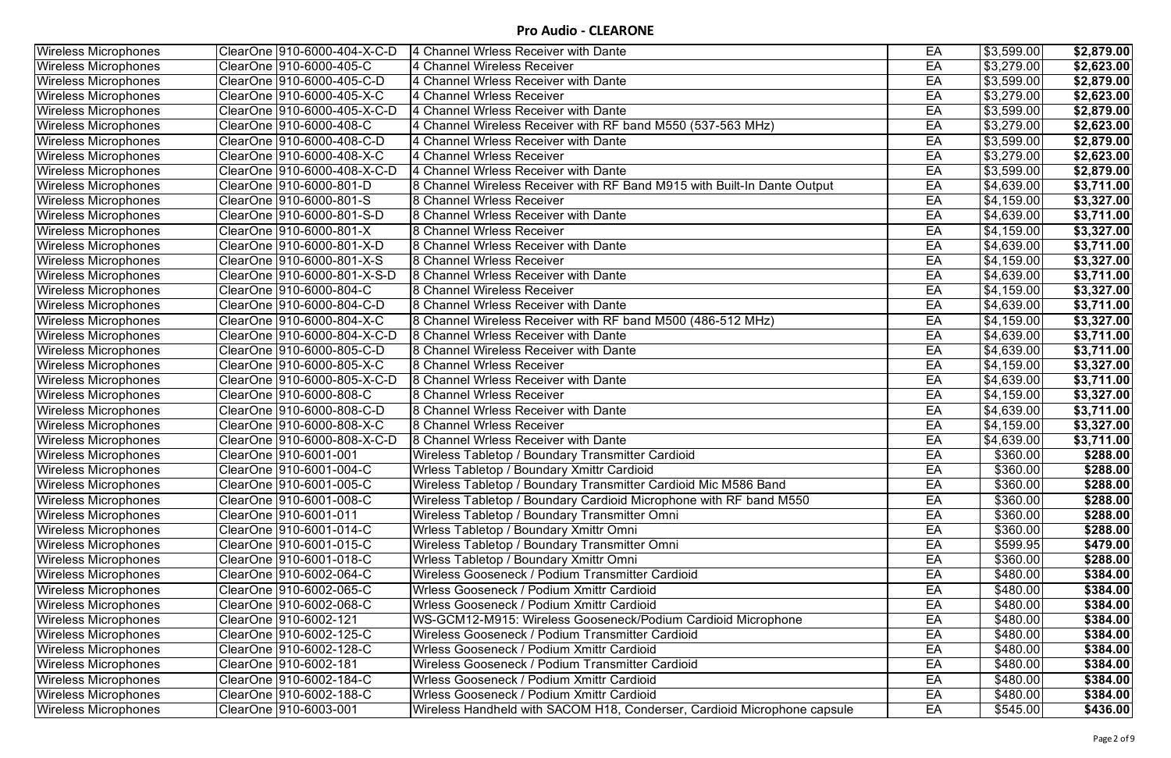| EA<br>\$3,599.00<br><b>Wireless Microphones</b><br>ClearOne  910-6000-404-X-C-D<br>4 Channel Wrless Receiver with Dante<br>\$2,879.00<br>$\overline{$3,279.00}$<br>ClearOne  910-6000-405-C<br>4 Channel Wireless Receiver<br>EA<br><b>Wireless Microphones</b><br>\$2,623.00<br>EA<br>ClearOne  910-6000-405-C-D<br>\$3,599.00<br><b>Wireless Microphones</b><br>4 Channel Wrless Receiver with Dante<br>\$2,879.00<br>EA<br>\$3,279.00<br>4 Channel Wrless Receiver<br><b>Wireless Microphones</b><br>\$2,623.00<br>EA<br>\$3,599.00<br><b>Wireless Microphones</b><br>ClearOne  910-6000-405-X-C-D<br>4 Channel Wrless Receiver with Dante<br>\$2,879.00<br>EA<br>$\sqrt{33,279.00}$<br><b>Wireless Microphones</b><br>ClearOne  910-6000-408-C<br>4 Channel Wireless Receiver with RF band M550 (537-563 MHz)<br>\$2,623.00<br>$\overline{$3,599.00}$<br>EA<br><b>Wireless Microphones</b><br>4 Channel Wrless Receiver with Dante<br>\$2,879.00<br>EA<br>\$3,279.00<br>ClearOne 910-6000-408-X-C<br>4 Channel Wrless Receiver<br>\$2,623.00<br><b>Wireless Microphones</b><br>\$3,599.00<br>ClearOne  910-6000-408-X-C-D<br>4 Channel Wrless Receiver with Dante<br>EA<br><b>Wireless Microphones</b><br>\$2,879.00<br>EA<br>$\overline{$4,639.00}$<br>8 Channel Wireless Receiver with RF Band M915 with Built-In Dante Output<br>\$3,711.00<br><b>Wireless Microphones</b><br>ClearOne  910-6000-801-S<br>8 Channel Wrless Receiver<br>EA<br>\$4,159.00<br><b>Wireless Microphones</b><br>\$3,327.00<br>$\sqrt{24,639.00}$<br>ClearOne  910-6000-801-S-D<br><b>8 Channel Wrless Receiver with Dante</b><br>EA<br><b>Wireless Microphones</b><br>\$3,711.00<br>ClearOne  910-6000-801-X<br><b>8 Channel Wrless Receiver</b><br>EA<br>\$4,159.00<br>$\overline{$3,327.00}$<br><b>Wireless Microphones</b><br>$\sqrt{4,639.00}$<br><b>Wireless Microphones</b><br>ClearOne  910-6000-801-X-D<br>8 Channel Wrless Receiver with Dante<br>EA<br>\$3,711.00<br>EA<br>ClearOne  910-6000-801-X-S<br><b>8 Channel Wrless Receiver</b><br>\$4,159.00<br><b>Wireless Microphones</b><br>\$3,327.00<br>EA<br>$\overline{$4,639.00}$<br><b>Wireless Microphones</b><br>ClearOne  910-6000-801-X-S-D<br>8 Channel Wrless Receiver with Dante<br>\$3,711.00<br>\$4,159.00<br>ClearOne  910-6000-804-C<br>8 Channel Wireless Receiver<br>EA<br><b>Wireless Microphones</b><br>\$3,327.00<br>EA<br>\$4,639.00<br>ClearOne  910-6000-804-C-D<br>8 Channel Wrless Receiver with Dante<br>\$3,711.00<br><b>Wireless Microphones</b><br>$\sqrt{34,159.00}$<br>ClearOne  910-6000-804-X-C<br>EA<br><b>Wireless Microphones</b><br>8 Channel Wireless Receiver with RF band M500 (486-512 MHz)<br>\$3,327.00<br>EA<br>\$4,639.00<br><b>Wireless Microphones</b><br>8 Channel Wrless Receiver with Dante<br>\$3,711.00<br>EA<br>$\overline{$4,639.00}$<br><b>Wireless Microphones</b><br>8 Channel Wireless Receiver with Dante<br>\$3,711.00<br>EA<br>\$4,159.00<br>8 Channel Wrless Receiver<br><b>Wireless Microphones</b><br>\$3,327.00<br>EA<br>\$4,639.00<br>ClearOne  910-6000-805-X-C-D<br>8 Channel Wrless Receiver with Dante<br>$\overline{$3,711.00}$<br><b>Wireless Microphones</b><br>8 Channel Wrless Receiver<br>EA<br>\$4,159.00<br><b>Wireless Microphones</b><br>\$3,327.00<br>EA<br>\$4,639.00<br><b>Wireless Microphones</b><br>ClearOne  910-6000-808-C-D<br>8 Channel Wrless Receiver with Dante<br>\$3,711.00<br>$\overline{84,159.00}$<br><b>Wireless Microphones</b><br>ClearOne  910-6000-808-X-C<br>8 Channel Wrless Receiver<br>EA<br>\$3,327.00<br><b>Wireless Microphones</b><br>ClearOne  910-6000-808-X-C-D<br>8 Channel Wrless Receiver with Dante<br>EA<br>\$4,639.00<br>\$3,711.00<br>\$360.00<br><b>Wireless Microphones</b><br>ClearOne  910-6001-001<br>Wireless Tabletop / Boundary Transmitter Cardioid<br>EA<br>\$288.00<br>ClearOne 910-6001-004-C<br>\$360.00<br>\$288.00<br><b>Wireless Microphones</b><br>Wrless Tabletop / Boundary Xmittr Cardioid<br>EA<br>EA<br>\$360.00<br><b>Wireless Microphones</b><br>Wireless Tabletop / Boundary Transmitter Cardioid Mic M586 Band<br>\$288.00<br>\$360.00<br>ClearOne  910-6001-008-C<br>Wireless Tabletop / Boundary Cardioid Microphone with RF band M550<br>EA<br>Wireless Microphones<br>\$288.00<br>EA<br>\$360.00<br>Wireless Microphones<br>ClearOne  910-6001-011<br>Wireless Tabletop / Boundary Transmitter Omni<br>\$288.00<br>EA<br>\$360.00<br><b>Wireless Microphones</b><br>Wrless Tabletop / Boundary Xmittr Omni<br>\$288.00<br><b>Wireless Microphones</b><br>ClearOne  910-6001-015-C<br>Wireless Tabletop / Boundary Transmitter Omni<br>EA<br>\$599.95<br>\$479.00<br>ClearOne  910-6001-018-C<br>Wrless Tabletop / Boundary Xmittr Omni<br>\$360.00<br><b>Wireless Microphones</b><br>EA<br>\$288.00<br>\$480.00]<br>Wireless Gooseneck / Podium Transmitter Cardioid<br>EA<br>\$384.00<br><b>Wireless Microphones</b><br>EA<br>\$480.00<br><b>Wireless Microphones</b><br>ClearOne  910-6002-065-C<br>Wrless Gooseneck / Podium Xmittr Cardioid<br>\$384.00<br>EA<br>\$480.00<br><b>Wireless Microphones</b><br>ClearOne  910-6002-068-C<br>Wrless Gooseneck / Podium Xmittr Cardioid<br>\$384.00<br><b>Wireless Microphones</b><br>WS-GCM12-M915: Wireless Gooseneck/Podium Cardioid Microphone<br>EA<br>\$480.00<br>\$384.00<br>ClearOne  910-6002-121<br><b>Wireless Microphones</b><br>ClearOne  910-6002-125-C<br>Wireless Gooseneck / Podium Transmitter Cardioid<br>EA<br>\$480.00<br>\$384.00<br>\$480.00]<br>EA<br><b>Wireless Microphones</b><br>Wrless Gooseneck / Podium Xmittr Cardioid<br>\$384.00<br><b>Wireless Microphones</b><br>ClearOne  910-6002-181<br>Wireless Gooseneck / Podium Transmitter Cardioid<br>EA<br>\$480.00]<br>\$384.00<br>EA<br>\$480.00<br><b>Wireless Microphones</b><br>Wrless Gooseneck / Podium Xmittr Cardioid<br>\$384.00<br>EA<br><b>Wireless Microphones</b><br>Wrless Gooseneck / Podium Xmittr Cardioid<br>\$480.00<br>\$384.00<br>ClearOne   910-6003-001<br>Wireless Microphones<br>Wireless Handheld with SACOM H18, Conderser, Cardioid Microphone capsule<br>EA<br>\$545.00<br>\$436.00 |  |  |  |
|-------------------------------------------------------------------------------------------------------------------------------------------------------------------------------------------------------------------------------------------------------------------------------------------------------------------------------------------------------------------------------------------------------------------------------------------------------------------------------------------------------------------------------------------------------------------------------------------------------------------------------------------------------------------------------------------------------------------------------------------------------------------------------------------------------------------------------------------------------------------------------------------------------------------------------------------------------------------------------------------------------------------------------------------------------------------------------------------------------------------------------------------------------------------------------------------------------------------------------------------------------------------------------------------------------------------------------------------------------------------------------------------------------------------------------------------------------------------------------------------------------------------------------------------------------------------------------------------------------------------------------------------------------------------------------------------------------------------------------------------------------------------------------------------------------------------------------------------------------------------------------------------------------------------------------------------------------------------------------------------------------------------------------------------------------------------------------------------------------------------------------------------------------------------------------------------------------------------------------------------------------------------------------------------------------------------------------------------------------------------------------------------------------------------------------------------------------------------------------------------------------------------------------------------------------------------------------------------------------------------------------------------------------------------------------------------------------------------------------------------------------------------------------------------------------------------------------------------------------------------------------------------------------------------------------------------------------------------------------------------------------------------------------------------------------------------------------------------------------------------------------------------------------------------------------------------------------------------------------------------------------------------------------------------------------------------------------------------------------------------------------------------------------------------------------------------------------------------------------------------------------------------------------------------------------------------------------------------------------------------------------------------------------------------------------------------------------------------------------------------------------------------------------------------------------------------------------------------------------------------------------------------------------------------------------------------------------------------------------------------------------------------------------------------------------------------------------------------------------------------------------------------------------------------------------------------------------------------------------------------------------------------------------------------------------------------------------------------------------------------------------------------------------------------------------------------------------------------------------------------------------------------------------------------------------------------------------------------------------------------------------------------------------------------------------------------------------------------------------------------------------------------------------------------------------------------------------------------------------------------------------------------------------------------------------------------------------------------------------------------------------------------------------------------------------------------------------------------------------------------------------------------------------------------------------------------------------------------------------------------------------------------------------------------------------------------------------------------------------------------------------------------------------------------------------------------------------------------------------------------------------------------------------------------------------------------------------------------------------------------------------------------------------------------------------------------------------------------------------------------------------------------------------------------------------------------------------------------------------------------------------------------------------------------------------------------------------------------------------------------------------------------------------------------------------------------------------------------------------------------------------------------------|--|--|--|
|                                                                                                                                                                                                                                                                                                                                                                                                                                                                                                                                                                                                                                                                                                                                                                                                                                                                                                                                                                                                                                                                                                                                                                                                                                                                                                                                                                                                                                                                                                                                                                                                                                                                                                                                                                                                                                                                                                                                                                                                                                                                                                                                                                                                                                                                                                                                                                                                                                                                                                                                                                                                                                                                                                                                                                                                                                                                                                                                                                                                                                                                                                                                                                                                                                                                                                                                                                                                                                                                                                                                                                                                                                                                                                                                                                                                                                                                                                                                                                                                                                                                                                                                                                                                                                                                                                                                                                                                                                                                                                                                                                                                                                                                                                                                                                                                                                                                                                                                                                                                                                                                                                                                                                                                                                                                                                                                                                                                                                                                                                                                                                                                                                                                                                                                                                                                                                                                                                                                                                                                                                                                                                                                                 |  |  |  |
|                                                                                                                                                                                                                                                                                                                                                                                                                                                                                                                                                                                                                                                                                                                                                                                                                                                                                                                                                                                                                                                                                                                                                                                                                                                                                                                                                                                                                                                                                                                                                                                                                                                                                                                                                                                                                                                                                                                                                                                                                                                                                                                                                                                                                                                                                                                                                                                                                                                                                                                                                                                                                                                                                                                                                                                                                                                                                                                                                                                                                                                                                                                                                                                                                                                                                                                                                                                                                                                                                                                                                                                                                                                                                                                                                                                                                                                                                                                                                                                                                                                                                                                                                                                                                                                                                                                                                                                                                                                                                                                                                                                                                                                                                                                                                                                                                                                                                                                                                                                                                                                                                                                                                                                                                                                                                                                                                                                                                                                                                                                                                                                                                                                                                                                                                                                                                                                                                                                                                                                                                                                                                                                                                 |  |  |  |
|                                                                                                                                                                                                                                                                                                                                                                                                                                                                                                                                                                                                                                                                                                                                                                                                                                                                                                                                                                                                                                                                                                                                                                                                                                                                                                                                                                                                                                                                                                                                                                                                                                                                                                                                                                                                                                                                                                                                                                                                                                                                                                                                                                                                                                                                                                                                                                                                                                                                                                                                                                                                                                                                                                                                                                                                                                                                                                                                                                                                                                                                                                                                                                                                                                                                                                                                                                                                                                                                                                                                                                                                                                                                                                                                                                                                                                                                                                                                                                                                                                                                                                                                                                                                                                                                                                                                                                                                                                                                                                                                                                                                                                                                                                                                                                                                                                                                                                                                                                                                                                                                                                                                                                                                                                                                                                                                                                                                                                                                                                                                                                                                                                                                                                                                                                                                                                                                                                                                                                                                                                                                                                                                                 |  |  |  |
|                                                                                                                                                                                                                                                                                                                                                                                                                                                                                                                                                                                                                                                                                                                                                                                                                                                                                                                                                                                                                                                                                                                                                                                                                                                                                                                                                                                                                                                                                                                                                                                                                                                                                                                                                                                                                                                                                                                                                                                                                                                                                                                                                                                                                                                                                                                                                                                                                                                                                                                                                                                                                                                                                                                                                                                                                                                                                                                                                                                                                                                                                                                                                                                                                                                                                                                                                                                                                                                                                                                                                                                                                                                                                                                                                                                                                                                                                                                                                                                                                                                                                                                                                                                                                                                                                                                                                                                                                                                                                                                                                                                                                                                                                                                                                                                                                                                                                                                                                                                                                                                                                                                                                                                                                                                                                                                                                                                                                                                                                                                                                                                                                                                                                                                                                                                                                                                                                                                                                                                                                                                                                                                                                 |  |  |  |
|                                                                                                                                                                                                                                                                                                                                                                                                                                                                                                                                                                                                                                                                                                                                                                                                                                                                                                                                                                                                                                                                                                                                                                                                                                                                                                                                                                                                                                                                                                                                                                                                                                                                                                                                                                                                                                                                                                                                                                                                                                                                                                                                                                                                                                                                                                                                                                                                                                                                                                                                                                                                                                                                                                                                                                                                                                                                                                                                                                                                                                                                                                                                                                                                                                                                                                                                                                                                                                                                                                                                                                                                                                                                                                                                                                                                                                                                                                                                                                                                                                                                                                                                                                                                                                                                                                                                                                                                                                                                                                                                                                                                                                                                                                                                                                                                                                                                                                                                                                                                                                                                                                                                                                                                                                                                                                                                                                                                                                                                                                                                                                                                                                                                                                                                                                                                                                                                                                                                                                                                                                                                                                                                                 |  |  |  |
|                                                                                                                                                                                                                                                                                                                                                                                                                                                                                                                                                                                                                                                                                                                                                                                                                                                                                                                                                                                                                                                                                                                                                                                                                                                                                                                                                                                                                                                                                                                                                                                                                                                                                                                                                                                                                                                                                                                                                                                                                                                                                                                                                                                                                                                                                                                                                                                                                                                                                                                                                                                                                                                                                                                                                                                                                                                                                                                                                                                                                                                                                                                                                                                                                                                                                                                                                                                                                                                                                                                                                                                                                                                                                                                                                                                                                                                                                                                                                                                                                                                                                                                                                                                                                                                                                                                                                                                                                                                                                                                                                                                                                                                                                                                                                                                                                                                                                                                                                                                                                                                                                                                                                                                                                                                                                                                                                                                                                                                                                                                                                                                                                                                                                                                                                                                                                                                                                                                                                                                                                                                                                                                                                 |  |  |  |
|                                                                                                                                                                                                                                                                                                                                                                                                                                                                                                                                                                                                                                                                                                                                                                                                                                                                                                                                                                                                                                                                                                                                                                                                                                                                                                                                                                                                                                                                                                                                                                                                                                                                                                                                                                                                                                                                                                                                                                                                                                                                                                                                                                                                                                                                                                                                                                                                                                                                                                                                                                                                                                                                                                                                                                                                                                                                                                                                                                                                                                                                                                                                                                                                                                                                                                                                                                                                                                                                                                                                                                                                                                                                                                                                                                                                                                                                                                                                                                                                                                                                                                                                                                                                                                                                                                                                                                                                                                                                                                                                                                                                                                                                                                                                                                                                                                                                                                                                                                                                                                                                                                                                                                                                                                                                                                                                                                                                                                                                                                                                                                                                                                                                                                                                                                                                                                                                                                                                                                                                                                                                                                                                                 |  |  |  |
|                                                                                                                                                                                                                                                                                                                                                                                                                                                                                                                                                                                                                                                                                                                                                                                                                                                                                                                                                                                                                                                                                                                                                                                                                                                                                                                                                                                                                                                                                                                                                                                                                                                                                                                                                                                                                                                                                                                                                                                                                                                                                                                                                                                                                                                                                                                                                                                                                                                                                                                                                                                                                                                                                                                                                                                                                                                                                                                                                                                                                                                                                                                                                                                                                                                                                                                                                                                                                                                                                                                                                                                                                                                                                                                                                                                                                                                                                                                                                                                                                                                                                                                                                                                                                                                                                                                                                                                                                                                                                                                                                                                                                                                                                                                                                                                                                                                                                                                                                                                                                                                                                                                                                                                                                                                                                                                                                                                                                                                                                                                                                                                                                                                                                                                                                                                                                                                                                                                                                                                                                                                                                                                                                 |  |  |  |
|                                                                                                                                                                                                                                                                                                                                                                                                                                                                                                                                                                                                                                                                                                                                                                                                                                                                                                                                                                                                                                                                                                                                                                                                                                                                                                                                                                                                                                                                                                                                                                                                                                                                                                                                                                                                                                                                                                                                                                                                                                                                                                                                                                                                                                                                                                                                                                                                                                                                                                                                                                                                                                                                                                                                                                                                                                                                                                                                                                                                                                                                                                                                                                                                                                                                                                                                                                                                                                                                                                                                                                                                                                                                                                                                                                                                                                                                                                                                                                                                                                                                                                                                                                                                                                                                                                                                                                                                                                                                                                                                                                                                                                                                                                                                                                                                                                                                                                                                                                                                                                                                                                                                                                                                                                                                                                                                                                                                                                                                                                                                                                                                                                                                                                                                                                                                                                                                                                                                                                                                                                                                                                                                                 |  |  |  |
|                                                                                                                                                                                                                                                                                                                                                                                                                                                                                                                                                                                                                                                                                                                                                                                                                                                                                                                                                                                                                                                                                                                                                                                                                                                                                                                                                                                                                                                                                                                                                                                                                                                                                                                                                                                                                                                                                                                                                                                                                                                                                                                                                                                                                                                                                                                                                                                                                                                                                                                                                                                                                                                                                                                                                                                                                                                                                                                                                                                                                                                                                                                                                                                                                                                                                                                                                                                                                                                                                                                                                                                                                                                                                                                                                                                                                                                                                                                                                                                                                                                                                                                                                                                                                                                                                                                                                                                                                                                                                                                                                                                                                                                                                                                                                                                                                                                                                                                                                                                                                                                                                                                                                                                                                                                                                                                                                                                                                                                                                                                                                                                                                                                                                                                                                                                                                                                                                                                                                                                                                                                                                                                                                 |  |  |  |
|                                                                                                                                                                                                                                                                                                                                                                                                                                                                                                                                                                                                                                                                                                                                                                                                                                                                                                                                                                                                                                                                                                                                                                                                                                                                                                                                                                                                                                                                                                                                                                                                                                                                                                                                                                                                                                                                                                                                                                                                                                                                                                                                                                                                                                                                                                                                                                                                                                                                                                                                                                                                                                                                                                                                                                                                                                                                                                                                                                                                                                                                                                                                                                                                                                                                                                                                                                                                                                                                                                                                                                                                                                                                                                                                                                                                                                                                                                                                                                                                                                                                                                                                                                                                                                                                                                                                                                                                                                                                                                                                                                                                                                                                                                                                                                                                                                                                                                                                                                                                                                                                                                                                                                                                                                                                                                                                                                                                                                                                                                                                                                                                                                                                                                                                                                                                                                                                                                                                                                                                                                                                                                                                                 |  |  |  |
|                                                                                                                                                                                                                                                                                                                                                                                                                                                                                                                                                                                                                                                                                                                                                                                                                                                                                                                                                                                                                                                                                                                                                                                                                                                                                                                                                                                                                                                                                                                                                                                                                                                                                                                                                                                                                                                                                                                                                                                                                                                                                                                                                                                                                                                                                                                                                                                                                                                                                                                                                                                                                                                                                                                                                                                                                                                                                                                                                                                                                                                                                                                                                                                                                                                                                                                                                                                                                                                                                                                                                                                                                                                                                                                                                                                                                                                                                                                                                                                                                                                                                                                                                                                                                                                                                                                                                                                                                                                                                                                                                                                                                                                                                                                                                                                                                                                                                                                                                                                                                                                                                                                                                                                                                                                                                                                                                                                                                                                                                                                                                                                                                                                                                                                                                                                                                                                                                                                                                                                                                                                                                                                                                 |  |  |  |
|                                                                                                                                                                                                                                                                                                                                                                                                                                                                                                                                                                                                                                                                                                                                                                                                                                                                                                                                                                                                                                                                                                                                                                                                                                                                                                                                                                                                                                                                                                                                                                                                                                                                                                                                                                                                                                                                                                                                                                                                                                                                                                                                                                                                                                                                                                                                                                                                                                                                                                                                                                                                                                                                                                                                                                                                                                                                                                                                                                                                                                                                                                                                                                                                                                                                                                                                                                                                                                                                                                                                                                                                                                                                                                                                                                                                                                                                                                                                                                                                                                                                                                                                                                                                                                                                                                                                                                                                                                                                                                                                                                                                                                                                                                                                                                                                                                                                                                                                                                                                                                                                                                                                                                                                                                                                                                                                                                                                                                                                                                                                                                                                                                                                                                                                                                                                                                                                                                                                                                                                                                                                                                                                                 |  |  |  |
|                                                                                                                                                                                                                                                                                                                                                                                                                                                                                                                                                                                                                                                                                                                                                                                                                                                                                                                                                                                                                                                                                                                                                                                                                                                                                                                                                                                                                                                                                                                                                                                                                                                                                                                                                                                                                                                                                                                                                                                                                                                                                                                                                                                                                                                                                                                                                                                                                                                                                                                                                                                                                                                                                                                                                                                                                                                                                                                                                                                                                                                                                                                                                                                                                                                                                                                                                                                                                                                                                                                                                                                                                                                                                                                                                                                                                                                                                                                                                                                                                                                                                                                                                                                                                                                                                                                                                                                                                                                                                                                                                                                                                                                                                                                                                                                                                                                                                                                                                                                                                                                                                                                                                                                                                                                                                                                                                                                                                                                                                                                                                                                                                                                                                                                                                                                                                                                                                                                                                                                                                                                                                                                                                 |  |  |  |
|                                                                                                                                                                                                                                                                                                                                                                                                                                                                                                                                                                                                                                                                                                                                                                                                                                                                                                                                                                                                                                                                                                                                                                                                                                                                                                                                                                                                                                                                                                                                                                                                                                                                                                                                                                                                                                                                                                                                                                                                                                                                                                                                                                                                                                                                                                                                                                                                                                                                                                                                                                                                                                                                                                                                                                                                                                                                                                                                                                                                                                                                                                                                                                                                                                                                                                                                                                                                                                                                                                                                                                                                                                                                                                                                                                                                                                                                                                                                                                                                                                                                                                                                                                                                                                                                                                                                                                                                                                                                                                                                                                                                                                                                                                                                                                                                                                                                                                                                                                                                                                                                                                                                                                                                                                                                                                                                                                                                                                                                                                                                                                                                                                                                                                                                                                                                                                                                                                                                                                                                                                                                                                                                                 |  |  |  |
|                                                                                                                                                                                                                                                                                                                                                                                                                                                                                                                                                                                                                                                                                                                                                                                                                                                                                                                                                                                                                                                                                                                                                                                                                                                                                                                                                                                                                                                                                                                                                                                                                                                                                                                                                                                                                                                                                                                                                                                                                                                                                                                                                                                                                                                                                                                                                                                                                                                                                                                                                                                                                                                                                                                                                                                                                                                                                                                                                                                                                                                                                                                                                                                                                                                                                                                                                                                                                                                                                                                                                                                                                                                                                                                                                                                                                                                                                                                                                                                                                                                                                                                                                                                                                                                                                                                                                                                                                                                                                                                                                                                                                                                                                                                                                                                                                                                                                                                                                                                                                                                                                                                                                                                                                                                                                                                                                                                                                                                                                                                                                                                                                                                                                                                                                                                                                                                                                                                                                                                                                                                                                                                                                 |  |  |  |
|                                                                                                                                                                                                                                                                                                                                                                                                                                                                                                                                                                                                                                                                                                                                                                                                                                                                                                                                                                                                                                                                                                                                                                                                                                                                                                                                                                                                                                                                                                                                                                                                                                                                                                                                                                                                                                                                                                                                                                                                                                                                                                                                                                                                                                                                                                                                                                                                                                                                                                                                                                                                                                                                                                                                                                                                                                                                                                                                                                                                                                                                                                                                                                                                                                                                                                                                                                                                                                                                                                                                                                                                                                                                                                                                                                                                                                                                                                                                                                                                                                                                                                                                                                                                                                                                                                                                                                                                                                                                                                                                                                                                                                                                                                                                                                                                                                                                                                                                                                                                                                                                                                                                                                                                                                                                                                                                                                                                                                                                                                                                                                                                                                                                                                                                                                                                                                                                                                                                                                                                                                                                                                                                                 |  |  |  |
|                                                                                                                                                                                                                                                                                                                                                                                                                                                                                                                                                                                                                                                                                                                                                                                                                                                                                                                                                                                                                                                                                                                                                                                                                                                                                                                                                                                                                                                                                                                                                                                                                                                                                                                                                                                                                                                                                                                                                                                                                                                                                                                                                                                                                                                                                                                                                                                                                                                                                                                                                                                                                                                                                                                                                                                                                                                                                                                                                                                                                                                                                                                                                                                                                                                                                                                                                                                                                                                                                                                                                                                                                                                                                                                                                                                                                                                                                                                                                                                                                                                                                                                                                                                                                                                                                                                                                                                                                                                                                                                                                                                                                                                                                                                                                                                                                                                                                                                                                                                                                                                                                                                                                                                                                                                                                                                                                                                                                                                                                                                                                                                                                                                                                                                                                                                                                                                                                                                                                                                                                                                                                                                                                 |  |  |  |
|                                                                                                                                                                                                                                                                                                                                                                                                                                                                                                                                                                                                                                                                                                                                                                                                                                                                                                                                                                                                                                                                                                                                                                                                                                                                                                                                                                                                                                                                                                                                                                                                                                                                                                                                                                                                                                                                                                                                                                                                                                                                                                                                                                                                                                                                                                                                                                                                                                                                                                                                                                                                                                                                                                                                                                                                                                                                                                                                                                                                                                                                                                                                                                                                                                                                                                                                                                                                                                                                                                                                                                                                                                                                                                                                                                                                                                                                                                                                                                                                                                                                                                                                                                                                                                                                                                                                                                                                                                                                                                                                                                                                                                                                                                                                                                                                                                                                                                                                                                                                                                                                                                                                                                                                                                                                                                                                                                                                                                                                                                                                                                                                                                                                                                                                                                                                                                                                                                                                                                                                                                                                                                                                                 |  |  |  |
|                                                                                                                                                                                                                                                                                                                                                                                                                                                                                                                                                                                                                                                                                                                                                                                                                                                                                                                                                                                                                                                                                                                                                                                                                                                                                                                                                                                                                                                                                                                                                                                                                                                                                                                                                                                                                                                                                                                                                                                                                                                                                                                                                                                                                                                                                                                                                                                                                                                                                                                                                                                                                                                                                                                                                                                                                                                                                                                                                                                                                                                                                                                                                                                                                                                                                                                                                                                                                                                                                                                                                                                                                                                                                                                                                                                                                                                                                                                                                                                                                                                                                                                                                                                                                                                                                                                                                                                                                                                                                                                                                                                                                                                                                                                                                                                                                                                                                                                                                                                                                                                                                                                                                                                                                                                                                                                                                                                                                                                                                                                                                                                                                                                                                                                                                                                                                                                                                                                                                                                                                                                                                                                                                 |  |  |  |
|                                                                                                                                                                                                                                                                                                                                                                                                                                                                                                                                                                                                                                                                                                                                                                                                                                                                                                                                                                                                                                                                                                                                                                                                                                                                                                                                                                                                                                                                                                                                                                                                                                                                                                                                                                                                                                                                                                                                                                                                                                                                                                                                                                                                                                                                                                                                                                                                                                                                                                                                                                                                                                                                                                                                                                                                                                                                                                                                                                                                                                                                                                                                                                                                                                                                                                                                                                                                                                                                                                                                                                                                                                                                                                                                                                                                                                                                                                                                                                                                                                                                                                                                                                                                                                                                                                                                                                                                                                                                                                                                                                                                                                                                                                                                                                                                                                                                                                                                                                                                                                                                                                                                                                                                                                                                                                                                                                                                                                                                                                                                                                                                                                                                                                                                                                                                                                                                                                                                                                                                                                                                                                                                                 |  |  |  |
|                                                                                                                                                                                                                                                                                                                                                                                                                                                                                                                                                                                                                                                                                                                                                                                                                                                                                                                                                                                                                                                                                                                                                                                                                                                                                                                                                                                                                                                                                                                                                                                                                                                                                                                                                                                                                                                                                                                                                                                                                                                                                                                                                                                                                                                                                                                                                                                                                                                                                                                                                                                                                                                                                                                                                                                                                                                                                                                                                                                                                                                                                                                                                                                                                                                                                                                                                                                                                                                                                                                                                                                                                                                                                                                                                                                                                                                                                                                                                                                                                                                                                                                                                                                                                                                                                                                                                                                                                                                                                                                                                                                                                                                                                                                                                                                                                                                                                                                                                                                                                                                                                                                                                                                                                                                                                                                                                                                                                                                                                                                                                                                                                                                                                                                                                                                                                                                                                                                                                                                                                                                                                                                                                 |  |  |  |
|                                                                                                                                                                                                                                                                                                                                                                                                                                                                                                                                                                                                                                                                                                                                                                                                                                                                                                                                                                                                                                                                                                                                                                                                                                                                                                                                                                                                                                                                                                                                                                                                                                                                                                                                                                                                                                                                                                                                                                                                                                                                                                                                                                                                                                                                                                                                                                                                                                                                                                                                                                                                                                                                                                                                                                                                                                                                                                                                                                                                                                                                                                                                                                                                                                                                                                                                                                                                                                                                                                                                                                                                                                                                                                                                                                                                                                                                                                                                                                                                                                                                                                                                                                                                                                                                                                                                                                                                                                                                                                                                                                                                                                                                                                                                                                                                                                                                                                                                                                                                                                                                                                                                                                                                                                                                                                                                                                                                                                                                                                                                                                                                                                                                                                                                                                                                                                                                                                                                                                                                                                                                                                                                                 |  |  |  |
|                                                                                                                                                                                                                                                                                                                                                                                                                                                                                                                                                                                                                                                                                                                                                                                                                                                                                                                                                                                                                                                                                                                                                                                                                                                                                                                                                                                                                                                                                                                                                                                                                                                                                                                                                                                                                                                                                                                                                                                                                                                                                                                                                                                                                                                                                                                                                                                                                                                                                                                                                                                                                                                                                                                                                                                                                                                                                                                                                                                                                                                                                                                                                                                                                                                                                                                                                                                                                                                                                                                                                                                                                                                                                                                                                                                                                                                                                                                                                                                                                                                                                                                                                                                                                                                                                                                                                                                                                                                                                                                                                                                                                                                                                                                                                                                                                                                                                                                                                                                                                                                                                                                                                                                                                                                                                                                                                                                                                                                                                                                                                                                                                                                                                                                                                                                                                                                                                                                                                                                                                                                                                                                                                 |  |  |  |
|                                                                                                                                                                                                                                                                                                                                                                                                                                                                                                                                                                                                                                                                                                                                                                                                                                                                                                                                                                                                                                                                                                                                                                                                                                                                                                                                                                                                                                                                                                                                                                                                                                                                                                                                                                                                                                                                                                                                                                                                                                                                                                                                                                                                                                                                                                                                                                                                                                                                                                                                                                                                                                                                                                                                                                                                                                                                                                                                                                                                                                                                                                                                                                                                                                                                                                                                                                                                                                                                                                                                                                                                                                                                                                                                                                                                                                                                                                                                                                                                                                                                                                                                                                                                                                                                                                                                                                                                                                                                                                                                                                                                                                                                                                                                                                                                                                                                                                                                                                                                                                                                                                                                                                                                                                                                                                                                                                                                                                                                                                                                                                                                                                                                                                                                                                                                                                                                                                                                                                                                                                                                                                                                                 |  |  |  |
|                                                                                                                                                                                                                                                                                                                                                                                                                                                                                                                                                                                                                                                                                                                                                                                                                                                                                                                                                                                                                                                                                                                                                                                                                                                                                                                                                                                                                                                                                                                                                                                                                                                                                                                                                                                                                                                                                                                                                                                                                                                                                                                                                                                                                                                                                                                                                                                                                                                                                                                                                                                                                                                                                                                                                                                                                                                                                                                                                                                                                                                                                                                                                                                                                                                                                                                                                                                                                                                                                                                                                                                                                                                                                                                                                                                                                                                                                                                                                                                                                                                                                                                                                                                                                                                                                                                                                                                                                                                                                                                                                                                                                                                                                                                                                                                                                                                                                                                                                                                                                                                                                                                                                                                                                                                                                                                                                                                                                                                                                                                                                                                                                                                                                                                                                                                                                                                                                                                                                                                                                                                                                                                                                 |  |  |  |
|                                                                                                                                                                                                                                                                                                                                                                                                                                                                                                                                                                                                                                                                                                                                                                                                                                                                                                                                                                                                                                                                                                                                                                                                                                                                                                                                                                                                                                                                                                                                                                                                                                                                                                                                                                                                                                                                                                                                                                                                                                                                                                                                                                                                                                                                                                                                                                                                                                                                                                                                                                                                                                                                                                                                                                                                                                                                                                                                                                                                                                                                                                                                                                                                                                                                                                                                                                                                                                                                                                                                                                                                                                                                                                                                                                                                                                                                                                                                                                                                                                                                                                                                                                                                                                                                                                                                                                                                                                                                                                                                                                                                                                                                                                                                                                                                                                                                                                                                                                                                                                                                                                                                                                                                                                                                                                                                                                                                                                                                                                                                                                                                                                                                                                                                                                                                                                                                                                                                                                                                                                                                                                                                                 |  |  |  |
|                                                                                                                                                                                                                                                                                                                                                                                                                                                                                                                                                                                                                                                                                                                                                                                                                                                                                                                                                                                                                                                                                                                                                                                                                                                                                                                                                                                                                                                                                                                                                                                                                                                                                                                                                                                                                                                                                                                                                                                                                                                                                                                                                                                                                                                                                                                                                                                                                                                                                                                                                                                                                                                                                                                                                                                                                                                                                                                                                                                                                                                                                                                                                                                                                                                                                                                                                                                                                                                                                                                                                                                                                                                                                                                                                                                                                                                                                                                                                                                                                                                                                                                                                                                                                                                                                                                                                                                                                                                                                                                                                                                                                                                                                                                                                                                                                                                                                                                                                                                                                                                                                                                                                                                                                                                                                                                                                                                                                                                                                                                                                                                                                                                                                                                                                                                                                                                                                                                                                                                                                                                                                                                                                 |  |  |  |
|                                                                                                                                                                                                                                                                                                                                                                                                                                                                                                                                                                                                                                                                                                                                                                                                                                                                                                                                                                                                                                                                                                                                                                                                                                                                                                                                                                                                                                                                                                                                                                                                                                                                                                                                                                                                                                                                                                                                                                                                                                                                                                                                                                                                                                                                                                                                                                                                                                                                                                                                                                                                                                                                                                                                                                                                                                                                                                                                                                                                                                                                                                                                                                                                                                                                                                                                                                                                                                                                                                                                                                                                                                                                                                                                                                                                                                                                                                                                                                                                                                                                                                                                                                                                                                                                                                                                                                                                                                                                                                                                                                                                                                                                                                                                                                                                                                                                                                                                                                                                                                                                                                                                                                                                                                                                                                                                                                                                                                                                                                                                                                                                                                                                                                                                                                                                                                                                                                                                                                                                                                                                                                                                                 |  |  |  |
|                                                                                                                                                                                                                                                                                                                                                                                                                                                                                                                                                                                                                                                                                                                                                                                                                                                                                                                                                                                                                                                                                                                                                                                                                                                                                                                                                                                                                                                                                                                                                                                                                                                                                                                                                                                                                                                                                                                                                                                                                                                                                                                                                                                                                                                                                                                                                                                                                                                                                                                                                                                                                                                                                                                                                                                                                                                                                                                                                                                                                                                                                                                                                                                                                                                                                                                                                                                                                                                                                                                                                                                                                                                                                                                                                                                                                                                                                                                                                                                                                                                                                                                                                                                                                                                                                                                                                                                                                                                                                                                                                                                                                                                                                                                                                                                                                                                                                                                                                                                                                                                                                                                                                                                                                                                                                                                                                                                                                                                                                                                                                                                                                                                                                                                                                                                                                                                                                                                                                                                                                                                                                                                                                 |  |  |  |
|                                                                                                                                                                                                                                                                                                                                                                                                                                                                                                                                                                                                                                                                                                                                                                                                                                                                                                                                                                                                                                                                                                                                                                                                                                                                                                                                                                                                                                                                                                                                                                                                                                                                                                                                                                                                                                                                                                                                                                                                                                                                                                                                                                                                                                                                                                                                                                                                                                                                                                                                                                                                                                                                                                                                                                                                                                                                                                                                                                                                                                                                                                                                                                                                                                                                                                                                                                                                                                                                                                                                                                                                                                                                                                                                                                                                                                                                                                                                                                                                                                                                                                                                                                                                                                                                                                                                                                                                                                                                                                                                                                                                                                                                                                                                                                                                                                                                                                                                                                                                                                                                                                                                                                                                                                                                                                                                                                                                                                                                                                                                                                                                                                                                                                                                                                                                                                                                                                                                                                                                                                                                                                                                                 |  |  |  |
|                                                                                                                                                                                                                                                                                                                                                                                                                                                                                                                                                                                                                                                                                                                                                                                                                                                                                                                                                                                                                                                                                                                                                                                                                                                                                                                                                                                                                                                                                                                                                                                                                                                                                                                                                                                                                                                                                                                                                                                                                                                                                                                                                                                                                                                                                                                                                                                                                                                                                                                                                                                                                                                                                                                                                                                                                                                                                                                                                                                                                                                                                                                                                                                                                                                                                                                                                                                                                                                                                                                                                                                                                                                                                                                                                                                                                                                                                                                                                                                                                                                                                                                                                                                                                                                                                                                                                                                                                                                                                                                                                                                                                                                                                                                                                                                                                                                                                                                                                                                                                                                                                                                                                                                                                                                                                                                                                                                                                                                                                                                                                                                                                                                                                                                                                                                                                                                                                                                                                                                                                                                                                                                                                 |  |  |  |
|                                                                                                                                                                                                                                                                                                                                                                                                                                                                                                                                                                                                                                                                                                                                                                                                                                                                                                                                                                                                                                                                                                                                                                                                                                                                                                                                                                                                                                                                                                                                                                                                                                                                                                                                                                                                                                                                                                                                                                                                                                                                                                                                                                                                                                                                                                                                                                                                                                                                                                                                                                                                                                                                                                                                                                                                                                                                                                                                                                                                                                                                                                                                                                                                                                                                                                                                                                                                                                                                                                                                                                                                                                                                                                                                                                                                                                                                                                                                                                                                                                                                                                                                                                                                                                                                                                                                                                                                                                                                                                                                                                                                                                                                                                                                                                                                                                                                                                                                                                                                                                                                                                                                                                                                                                                                                                                                                                                                                                                                                                                                                                                                                                                                                                                                                                                                                                                                                                                                                                                                                                                                                                                                                 |  |  |  |
|                                                                                                                                                                                                                                                                                                                                                                                                                                                                                                                                                                                                                                                                                                                                                                                                                                                                                                                                                                                                                                                                                                                                                                                                                                                                                                                                                                                                                                                                                                                                                                                                                                                                                                                                                                                                                                                                                                                                                                                                                                                                                                                                                                                                                                                                                                                                                                                                                                                                                                                                                                                                                                                                                                                                                                                                                                                                                                                                                                                                                                                                                                                                                                                                                                                                                                                                                                                                                                                                                                                                                                                                                                                                                                                                                                                                                                                                                                                                                                                                                                                                                                                                                                                                                                                                                                                                                                                                                                                                                                                                                                                                                                                                                                                                                                                                                                                                                                                                                                                                                                                                                                                                                                                                                                                                                                                                                                                                                                                                                                                                                                                                                                                                                                                                                                                                                                                                                                                                                                                                                                                                                                                                                 |  |  |  |
|                                                                                                                                                                                                                                                                                                                                                                                                                                                                                                                                                                                                                                                                                                                                                                                                                                                                                                                                                                                                                                                                                                                                                                                                                                                                                                                                                                                                                                                                                                                                                                                                                                                                                                                                                                                                                                                                                                                                                                                                                                                                                                                                                                                                                                                                                                                                                                                                                                                                                                                                                                                                                                                                                                                                                                                                                                                                                                                                                                                                                                                                                                                                                                                                                                                                                                                                                                                                                                                                                                                                                                                                                                                                                                                                                                                                                                                                                                                                                                                                                                                                                                                                                                                                                                                                                                                                                                                                                                                                                                                                                                                                                                                                                                                                                                                                                                                                                                                                                                                                                                                                                                                                                                                                                                                                                                                                                                                                                                                                                                                                                                                                                                                                                                                                                                                                                                                                                                                                                                                                                                                                                                                                                 |  |  |  |
|                                                                                                                                                                                                                                                                                                                                                                                                                                                                                                                                                                                                                                                                                                                                                                                                                                                                                                                                                                                                                                                                                                                                                                                                                                                                                                                                                                                                                                                                                                                                                                                                                                                                                                                                                                                                                                                                                                                                                                                                                                                                                                                                                                                                                                                                                                                                                                                                                                                                                                                                                                                                                                                                                                                                                                                                                                                                                                                                                                                                                                                                                                                                                                                                                                                                                                                                                                                                                                                                                                                                                                                                                                                                                                                                                                                                                                                                                                                                                                                                                                                                                                                                                                                                                                                                                                                                                                                                                                                                                                                                                                                                                                                                                                                                                                                                                                                                                                                                                                                                                                                                                                                                                                                                                                                                                                                                                                                                                                                                                                                                                                                                                                                                                                                                                                                                                                                                                                                                                                                                                                                                                                                                                 |  |  |  |
|                                                                                                                                                                                                                                                                                                                                                                                                                                                                                                                                                                                                                                                                                                                                                                                                                                                                                                                                                                                                                                                                                                                                                                                                                                                                                                                                                                                                                                                                                                                                                                                                                                                                                                                                                                                                                                                                                                                                                                                                                                                                                                                                                                                                                                                                                                                                                                                                                                                                                                                                                                                                                                                                                                                                                                                                                                                                                                                                                                                                                                                                                                                                                                                                                                                                                                                                                                                                                                                                                                                                                                                                                                                                                                                                                                                                                                                                                                                                                                                                                                                                                                                                                                                                                                                                                                                                                                                                                                                                                                                                                                                                                                                                                                                                                                                                                                                                                                                                                                                                                                                                                                                                                                                                                                                                                                                                                                                                                                                                                                                                                                                                                                                                                                                                                                                                                                                                                                                                                                                                                                                                                                                                                 |  |  |  |
|                                                                                                                                                                                                                                                                                                                                                                                                                                                                                                                                                                                                                                                                                                                                                                                                                                                                                                                                                                                                                                                                                                                                                                                                                                                                                                                                                                                                                                                                                                                                                                                                                                                                                                                                                                                                                                                                                                                                                                                                                                                                                                                                                                                                                                                                                                                                                                                                                                                                                                                                                                                                                                                                                                                                                                                                                                                                                                                                                                                                                                                                                                                                                                                                                                                                                                                                                                                                                                                                                                                                                                                                                                                                                                                                                                                                                                                                                                                                                                                                                                                                                                                                                                                                                                                                                                                                                                                                                                                                                                                                                                                                                                                                                                                                                                                                                                                                                                                                                                                                                                                                                                                                                                                                                                                                                                                                                                                                                                                                                                                                                                                                                                                                                                                                                                                                                                                                                                                                                                                                                                                                                                                                                 |  |  |  |
|                                                                                                                                                                                                                                                                                                                                                                                                                                                                                                                                                                                                                                                                                                                                                                                                                                                                                                                                                                                                                                                                                                                                                                                                                                                                                                                                                                                                                                                                                                                                                                                                                                                                                                                                                                                                                                                                                                                                                                                                                                                                                                                                                                                                                                                                                                                                                                                                                                                                                                                                                                                                                                                                                                                                                                                                                                                                                                                                                                                                                                                                                                                                                                                                                                                                                                                                                                                                                                                                                                                                                                                                                                                                                                                                                                                                                                                                                                                                                                                                                                                                                                                                                                                                                                                                                                                                                                                                                                                                                                                                                                                                                                                                                                                                                                                                                                                                                                                                                                                                                                                                                                                                                                                                                                                                                                                                                                                                                                                                                                                                                                                                                                                                                                                                                                                                                                                                                                                                                                                                                                                                                                                                                 |  |  |  |
|                                                                                                                                                                                                                                                                                                                                                                                                                                                                                                                                                                                                                                                                                                                                                                                                                                                                                                                                                                                                                                                                                                                                                                                                                                                                                                                                                                                                                                                                                                                                                                                                                                                                                                                                                                                                                                                                                                                                                                                                                                                                                                                                                                                                                                                                                                                                                                                                                                                                                                                                                                                                                                                                                                                                                                                                                                                                                                                                                                                                                                                                                                                                                                                                                                                                                                                                                                                                                                                                                                                                                                                                                                                                                                                                                                                                                                                                                                                                                                                                                                                                                                                                                                                                                                                                                                                                                                                                                                                                                                                                                                                                                                                                                                                                                                                                                                                                                                                                                                                                                                                                                                                                                                                                                                                                                                                                                                                                                                                                                                                                                                                                                                                                                                                                                                                                                                                                                                                                                                                                                                                                                                                                                 |  |  |  |
|                                                                                                                                                                                                                                                                                                                                                                                                                                                                                                                                                                                                                                                                                                                                                                                                                                                                                                                                                                                                                                                                                                                                                                                                                                                                                                                                                                                                                                                                                                                                                                                                                                                                                                                                                                                                                                                                                                                                                                                                                                                                                                                                                                                                                                                                                                                                                                                                                                                                                                                                                                                                                                                                                                                                                                                                                                                                                                                                                                                                                                                                                                                                                                                                                                                                                                                                                                                                                                                                                                                                                                                                                                                                                                                                                                                                                                                                                                                                                                                                                                                                                                                                                                                                                                                                                                                                                                                                                                                                                                                                                                                                                                                                                                                                                                                                                                                                                                                                                                                                                                                                                                                                                                                                                                                                                                                                                                                                                                                                                                                                                                                                                                                                                                                                                                                                                                                                                                                                                                                                                                                                                                                                                 |  |  |  |
|                                                                                                                                                                                                                                                                                                                                                                                                                                                                                                                                                                                                                                                                                                                                                                                                                                                                                                                                                                                                                                                                                                                                                                                                                                                                                                                                                                                                                                                                                                                                                                                                                                                                                                                                                                                                                                                                                                                                                                                                                                                                                                                                                                                                                                                                                                                                                                                                                                                                                                                                                                                                                                                                                                                                                                                                                                                                                                                                                                                                                                                                                                                                                                                                                                                                                                                                                                                                                                                                                                                                                                                                                                                                                                                                                                                                                                                                                                                                                                                                                                                                                                                                                                                                                                                                                                                                                                                                                                                                                                                                                                                                                                                                                                                                                                                                                                                                                                                                                                                                                                                                                                                                                                                                                                                                                                                                                                                                                                                                                                                                                                                                                                                                                                                                                                                                                                                                                                                                                                                                                                                                                                                                                 |  |  |  |
|                                                                                                                                                                                                                                                                                                                                                                                                                                                                                                                                                                                                                                                                                                                                                                                                                                                                                                                                                                                                                                                                                                                                                                                                                                                                                                                                                                                                                                                                                                                                                                                                                                                                                                                                                                                                                                                                                                                                                                                                                                                                                                                                                                                                                                                                                                                                                                                                                                                                                                                                                                                                                                                                                                                                                                                                                                                                                                                                                                                                                                                                                                                                                                                                                                                                                                                                                                                                                                                                                                                                                                                                                                                                                                                                                                                                                                                                                                                                                                                                                                                                                                                                                                                                                                                                                                                                                                                                                                                                                                                                                                                                                                                                                                                                                                                                                                                                                                                                                                                                                                                                                                                                                                                                                                                                                                                                                                                                                                                                                                                                                                                                                                                                                                                                                                                                                                                                                                                                                                                                                                                                                                                                                 |  |  |  |
|                                                                                                                                                                                                                                                                                                                                                                                                                                                                                                                                                                                                                                                                                                                                                                                                                                                                                                                                                                                                                                                                                                                                                                                                                                                                                                                                                                                                                                                                                                                                                                                                                                                                                                                                                                                                                                                                                                                                                                                                                                                                                                                                                                                                                                                                                                                                                                                                                                                                                                                                                                                                                                                                                                                                                                                                                                                                                                                                                                                                                                                                                                                                                                                                                                                                                                                                                                                                                                                                                                                                                                                                                                                                                                                                                                                                                                                                                                                                                                                                                                                                                                                                                                                                                                                                                                                                                                                                                                                                                                                                                                                                                                                                                                                                                                                                                                                                                                                                                                                                                                                                                                                                                                                                                                                                                                                                                                                                                                                                                                                                                                                                                                                                                                                                                                                                                                                                                                                                                                                                                                                                                                                                                 |  |  |  |
|                                                                                                                                                                                                                                                                                                                                                                                                                                                                                                                                                                                                                                                                                                                                                                                                                                                                                                                                                                                                                                                                                                                                                                                                                                                                                                                                                                                                                                                                                                                                                                                                                                                                                                                                                                                                                                                                                                                                                                                                                                                                                                                                                                                                                                                                                                                                                                                                                                                                                                                                                                                                                                                                                                                                                                                                                                                                                                                                                                                                                                                                                                                                                                                                                                                                                                                                                                                                                                                                                                                                                                                                                                                                                                                                                                                                                                                                                                                                                                                                                                                                                                                                                                                                                                                                                                                                                                                                                                                                                                                                                                                                                                                                                                                                                                                                                                                                                                                                                                                                                                                                                                                                                                                                                                                                                                                                                                                                                                                                                                                                                                                                                                                                                                                                                                                                                                                                                                                                                                                                                                                                                                                                                 |  |  |  |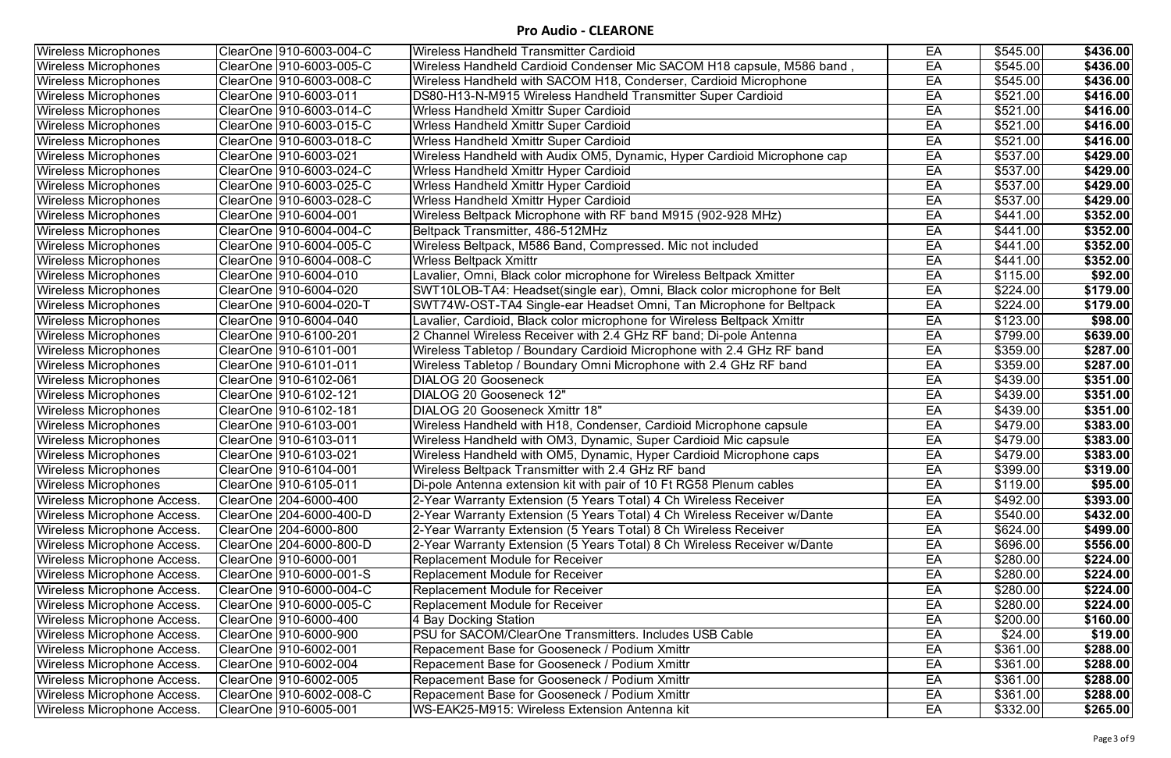| <b>Wireless Microphones</b>        | ClearOne   910-6003-004-C | Wireless Handheld Transmitter Cardioid                                   | EA | \$545.00             | \$436.00 |
|------------------------------------|---------------------------|--------------------------------------------------------------------------|----|----------------------|----------|
| <b>Wireless Microphones</b>        |                           | Wireless Handheld Cardioid Condenser Mic SACOM H18 capsule, M586 band,   | EA | \$545.00             | \$436.00 |
| <b>Wireless Microphones</b>        |                           | Wireless Handheld with SACOM H18, Conderser, Cardioid Microphone         | EA | \$545.00             | \$436.00 |
| <b>Wireless Microphones</b>        | ClearOne   910-6003-011   | DS80-H13-N-M915 Wireless Handheld Transmitter Super Cardioid             | EA | $\sqrt{$521.00}$     | \$416.00 |
| <b>Wireless Microphones</b>        | ClearOne   910-6003-014-C | Wrless Handheld Xmittr Super Cardioid                                    | EA | \$521.00             | \$416.00 |
| <b>Wireless Microphones</b>        |                           | Wrless Handheld Xmittr Super Cardioid                                    | EA | \$521.00             | \$416.00 |
| <b>Wireless Microphones</b>        |                           | Wrless Handheld Xmittr Super Cardioid                                    | EA | \$521.00             | \$416.00 |
| <b>Wireless Microphones</b>        |                           | Wireless Handheld with Audix OM5, Dynamic, Hyper Cardioid Microphone cap | EA | \$537.00             | \$429.00 |
| Wireless Microphones               |                           | Wrless Handheld Xmittr Hyper Cardioid                                    | EA | \$537.00             | \$429.00 |
| <b>Wireless Microphones</b>        |                           | Wrless Handheld Xmittr Hyper Cardioid                                    | EA | \$537.00             | \$429.00 |
| <b>Wireless Microphones</b>        |                           | Wrless Handheld Xmittr Hyper Cardioid                                    | EA | \$537.00             | \$429.00 |
| Wireless Microphones               | ClearOne  910-6004-001    | Wireless Beltpack Microphone with RF band M915 (902-928 MHz)             | EA | \$441.00             | \$352.00 |
| <b>Wireless Microphones</b>        | ClearOne  910-6004-004-C  | Beltpack Transmitter, 486-512MHz                                         | EA | \$441.00             | \$352.00 |
| <b>Wireless Microphones</b>        | ClearOne  910-6004-005-C  | Wireless Beltpack, M586 Band, Compressed. Mic not included               | EA | $\sqrt{3441.00}$     | \$352.00 |
| <b>Wireless Microphones</b>        |                           | <b>Wrless Beltpack Xmittr</b>                                            | EA | \$441.00             | \$352.00 |
| <b>Wireless Microphones</b>        | ClearOne  910-6004-010    | Lavalier, Omni, Black color microphone for Wireless Beltpack Xmitter     | EA | \$115.00             | \$92.00  |
| <b>Wireless Microphones</b>        | ClearOne  910-6004-020    | SWT10LOB-TA4: Headset(single ear), Omni, Black color microphone for Belt | EA | \$224.00             | \$179.00 |
| <b>Wireless Microphones</b>        | ClearOne 910-6004-020-T   | SWT74W-OST-TA4 Single-ear Headset Omni, Tan Microphone for Beltpack      | EA | \$224.00             | \$179.00 |
| <b>Wireless Microphones</b>        | ClearOne  910-6004-040    | Lavalier, Cardioid, Black color microphone for Wireless Beltpack Xmittr  | EA | \$123.00             | \$98.00  |
| <b>Wireless Microphones</b>        | ClearOne   910-6100-201   | 2 Channel Wireless Receiver with 2.4 GHz RF band; Di-pole Antenna        | EA | \$799.00             | \$639.00 |
| <b>Wireless Microphones</b>        | ClearOne  910-6101-001    | Wireless Tabletop / Boundary Cardioid Microphone with 2.4 GHz RF band    | EA | \$359.00             | \$287.00 |
| Wireless Microphones               | ClearOne  910-6101-011    | Wireless Tabletop / Boundary Omni Microphone with 2.4 GHz RF band        | EA | \$359.00             | \$287.00 |
| <b>Wireless Microphones</b>        | ClearOne  910-6102-061    | <b>DIALOG 20 Gooseneck</b>                                               | EA | \$439.00             | \$351.00 |
| <b>Wireless Microphones</b>        | ClearOne  910-6102-121    | <b>DIALOG 20 Gooseneck 12"</b>                                           | EA | $\sqrt{439.00}$      | \$351.00 |
| <b>Wireless Microphones</b>        | ClearOne  910-6102-181    | DIALOG 20 Gooseneck Xmittr 18"                                           | EA | \$439.00             | \$351.00 |
| <b>Wireless Microphones</b>        | ClearOne  910-6103-001    | Wireless Handheld with H18, Condenser, Cardioid Microphone capsule       | EA | \$479.00             | \$383.00 |
| <b>Wireless Microphones</b>        | ClearOne 910-6103-011     | Wireless Handheld with OM3, Dynamic, Super Cardioid Mic capsule          | EA | \$479.00             | \$383.00 |
| <b>Wireless Microphones</b>        | ClearOne   910-6103-021   | Wireless Handheld with OM5, Dynamic, Hyper Cardioid Microphone caps      | EA | \$479.00             | \$383.00 |
| <b>Wireless Microphones</b>        | ClearOne 910-6104-001     | Wireless Beltpack Transmitter with 2.4 GHz RF band                       | EA | \$399.00             | \$319.00 |
| <b>Wireless Microphones</b>        | ClearOne  910-6105-011    | Di-pole Antenna extension kit with pair of 10 Ft RG58 Plenum cables      | EA | \$119.00             | \$95.00  |
| Wireless Microphone Access.        | ClearOne 204-6000-400     | 2-Year Warranty Extension (5 Years Total) 4 Ch Wireless Receiver         | EA | $\sqrt{492.00}$      | \$393.00 |
| Wireless Microphone Access.        | ClearOne 204-6000-400-D   | 2-Year Warranty Extension (5 Years Total) 4 Ch Wireless Receiver w/Dante | EA | \$540.00             | \$432.00 |
| <b>Wireless Microphone Access.</b> | ClearOne 204-6000-800     | 2-Year Warranty Extension (5 Years Total) 8 Ch Wireless Receiver         | EA | \$624.00             | \$499.00 |
| Wireless Microphone Access.        | ClearOne 204-6000-800-D   | 2-Year Warranty Extension (5 Years Total) 8 Ch Wireless Receiver w/Dante | EA | \$696.00             | \$556.00 |
| Wireless Microphone Access.        | ClearOne 910-6000-001     | <b>Replacement Module for Receiver</b>                                   | EA | \$280.00             | \$224.00 |
| Wireless Microphone Access.        | ClearOne 910-6000-001-S   | <b>Replacement Module for Receiver</b>                                   | EA | $\sqrt{$280.00}$     | \$224.00 |
| <b>Wireless Microphone Access.</b> | ClearOne   910-6000-004-C | Replacement Module for Receiver                                          | EA | \$280.00             | \$224.00 |
| Wireless Microphone Access.        | ClearOne   910-6000-005-C | Replacement Module for Receiver                                          | EA | \$280.00             | \$224.00 |
| Wireless Microphone Access.        | ClearOne 910-6000-400     | 4 Bay Docking Station                                                    | EA | \$200.00             | \$160.00 |
| Wireless Microphone Access.        | ClearOne   910-6000-900   | <b>PSU for SACOM/ClearOne Transmitters. Includes USB Cable</b>           | EA | \$24.00              | \$19.00  |
| Wireless Microphone Access.        | ClearOne 910-6002-001     | Repacement Base for Gooseneck / Podium Xmittr                            | EA | \$361.00             | \$288.00 |
| Wireless Microphone Access.        | ClearOne 910-6002-004     | Repacement Base for Gooseneck / Podium Xmittr                            | EA | $\overline{$}361.00$ | \$288.00 |
| Wireless Microphone Access.        | ClearOne   910-6002-005   | Repacement Base for Gooseneck / Podium Xmittr                            | EA | \$361.00             | \$288.00 |
| Wireless Microphone Access.        | ClearOne   910-6002-008-C | Repacement Base for Gooseneck / Podium Xmittr                            | EA | \$361.00             | \$288.00 |
| Wireless Microphone Access.        | ClearOne   910-6005-001   | WS-EAK25-M915: Wireless Extension Antenna kit                            | EA | \$332.00             | \$265.00 |
|                                    |                           |                                                                          |    |                      |          |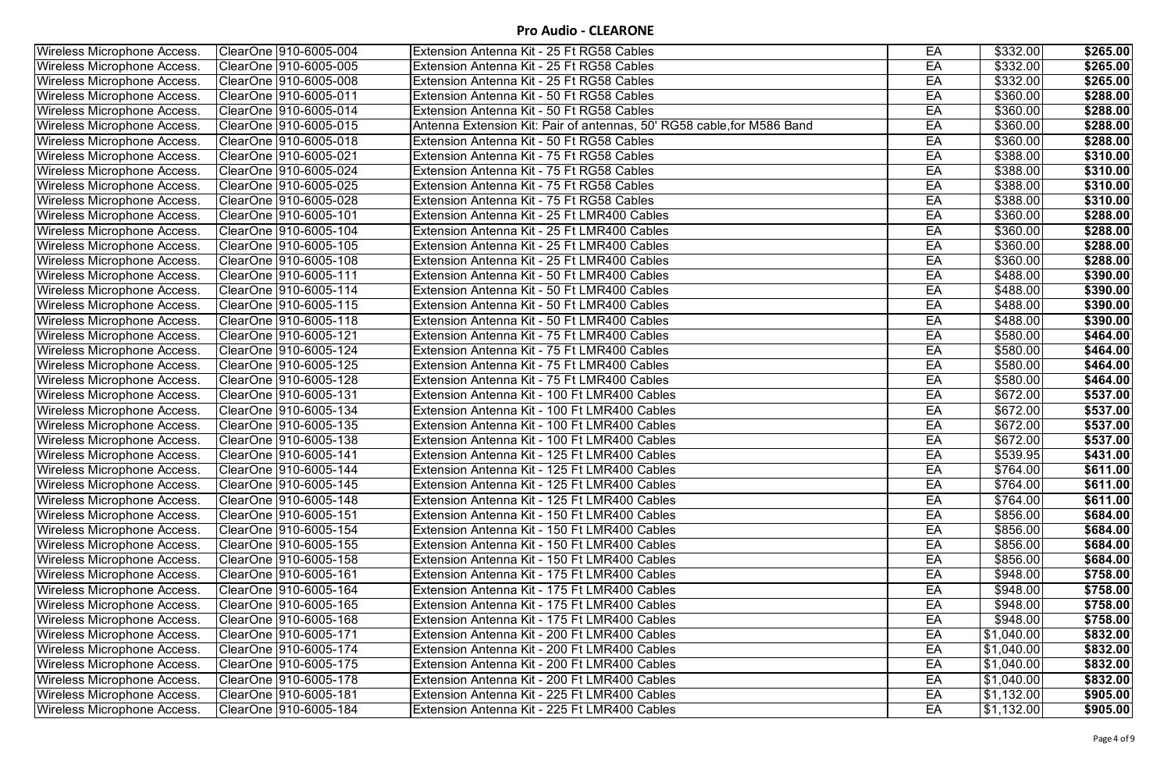| <b>Wireless Microphone Access.</b> | ClearOne 910-6005-004   | Extension Antenna Kit - 25 Ft RG58 Cables                              | EA | \$332.00             | \$265.00 |
|------------------------------------|-------------------------|------------------------------------------------------------------------|----|----------------------|----------|
| <b>Wireless Microphone Access.</b> | ClearOne   910-6005-005 | Extension Antenna Kit - 25 Ft RG58 Cables                              | EA | \$332.00             | \$265.00 |
| Wireless Microphone Access.        | ClearOne 910-6005-008   | Extension Antenna Kit - 25 Ft RG58 Cables                              | EA | \$332.00             | \$265.00 |
| <b>Wireless Microphone Access.</b> | ClearOne   910-6005-011 | Extension Antenna Kit - 50 Ft RG58 Cables                              | EA | $\sqrt{360.00}$      | \$288.00 |
| <b>Wireless Microphone Access.</b> | ClearOne  910-6005-014  | Extension Antenna Kit - 50 Ft RG58 Cables                              | EA | $\sqrt{360.00}$      | \$288.00 |
| Wireless Microphone Access.        | ClearOne   910-6005-015 | Antenna Extension Kit: Pair of antennas, 50' RG58 cable, for M586 Band | EA | $\sqrt{$360.00}$     | \$288.00 |
| <b>Wireless Microphone Access.</b> | ClearOne   910-6005-018 | Extension Antenna Kit - 50 Ft RG58 Cables                              | EA | \$360.00             | \$288.00 |
| Wireless Microphone Access.        | ClearOne   910-6005-021 | Extension Antenna Kit - 75 Ft RG58 Cables                              | EA | \$388.00             | \$310.00 |
| Wireless Microphone Access.        | ClearOne   910-6005-024 | Extension Antenna Kit - 75 Ft RG58 Cables                              | EA | $\overline{$}388.00$ | \$310.00 |
| <b>Wireless Microphone Access.</b> | ClearOne   910-6005-025 | Extension Antenna Kit - 75 Ft RG58 Cables                              | EA | $\sqrt{388.00}$      | \$310.00 |
| Wireless Microphone Access.        | ClearOne 910-6005-028   | Extension Antenna Kit - 75 Ft RG58 Cables                              | EA | \$388.00             | \$310.00 |
| <b>Wireless Microphone Access.</b> | ClearOne  910-6005-101  | Extension Antenna Kit - 25 Ft LMR400 Cables                            | EA | \$360.00             | \$288.00 |
| Wireless Microphone Access.        | ClearOne  910-6005-104  | Extension Antenna Kit - 25 Ft LMR400 Cables                            | EA | $\overline{$}360.00$ | \$288.00 |
| <b>Wireless Microphone Access.</b> | ClearOne 910-6005-105   | Extension Antenna Kit - 25 Ft LMR400 Cables                            | EA | \$360.00             | \$288.00 |
| <b>Wireless Microphone Access.</b> | ClearOne 910-6005-108   | Extension Antenna Kit - 25 Ft LMR400 Cables                            | EA | \$360.00             | \$288.00 |
| Wireless Microphone Access.        | ClearOne   910-6005-111 | Extension Antenna Kit - 50 Ft LMR400 Cables                            | EA | \$488.00             | \$390.00 |
| <b>Wireless Microphone Access.</b> | ClearOne   910-6005-114 | Extension Antenna Kit - 50 Ft LMR400 Cables                            | EA | \$488.00             | \$390.00 |
| <b>Wireless Microphone Access.</b> | ClearOne  910-6005-115  | Extension Antenna Kit - 50 Ft LMR400 Cables                            | EA | \$488.00             | \$390.00 |
| <b>Wireless Microphone Access.</b> | ClearOne  910-6005-118  | Extension Antenna Kit - 50 Ft LMR400 Cables                            | EA | \$488.00             | \$390.00 |
| <b>Wireless Microphone Access.</b> | ClearOne   910-6005-121 | Extension Antenna Kit - 75 Ft LMR400 Cables                            | EA | \$580.00             | \$464.00 |
| Wireless Microphone Access.        | ClearOne   910-6005-124 | Extension Antenna Kit - 75 Ft LMR400 Cables                            | EA | $\overline{$580.00}$ | \$464.00 |
| <b>Wireless Microphone Access.</b> | ClearOne  910-6005-125  | Extension Antenna Kit - 75 Ft LMR400 Cables                            | EA | \$580.00             | \$464.00 |
| <b>Wireless Microphone Access.</b> | ClearOne   910-6005-128 | Extension Antenna Kit - 75 Ft LMR400 Cables                            | EA | \$580.00             | \$464.00 |
| Wireless Microphone Access.        | ClearOne 910-6005-131   | Extension Antenna Kit - 100 Ft LMR400 Cables                           | EA | \$672.00             | \$537.00 |
| <b>Wireless Microphone Access.</b> | ClearOne   910-6005-134 | Extension Antenna Kit - 100 Ft LMR400 Cables                           | EA | \$672.00             | \$537.00 |
| Wireless Microphone Access.        | ClearOne 910-6005-135   | Extension Antenna Kit - 100 Ft LMR400 Cables                           | EA | \$672.00             | \$537.00 |
| Wireless Microphone Access.        | ClearOne   910-6005-138 | Extension Antenna Kit - 100 Ft LMR400 Cables                           | EA | \$672.00             | \$537.00 |
| Wireless Microphone Access.        | ClearOne   910-6005-141 | Extension Antenna Kit - 125 Ft LMR400 Cables                           | EA | \$539.95             | \$431.00 |
| <b>Wireless Microphone Access.</b> | ClearOne 910-6005-144   | Extension Antenna Kit - 125 Ft LMR400 Cables                           | EA | \$764.00             | \$611.00 |
| <b>Wireless Microphone Access.</b> | ClearOne   910-6005-145 | Extension Antenna Kit - 125 Ft LMR400 Cables                           | EA | \$764.00             | \$611.00 |
| <b>Wireless Microphone Access.</b> | ClearOne   910-6005-148 | Extension Antenna Kit - 125 Ft LMR400 Cables                           | EA | \$764.00             | \$611.00 |
| Wireless Microphone Access.        | ClearOne   910-6005-151 | Extension Antenna Kit - 150 Ft LMR400 Cables                           | EA | \$856.00             | \$684.00 |
| Wireless Microphone Access.        | ClearOne  910-6005-154  | Extension Antenna Kit - 150 Ft LMR400 Cables                           | EA | \$856.00             | \$684.00 |
| Wireless Microphone Access.        | ClearOne  910-6005-155  | Extension Antenna Kit - 150 Ft LMR400 Cables                           | EA | \$856.00             | \$684.00 |
| Wireless Microphone Access.        | ClearOne   910-6005-158 | Extension Antenna Kit - 150 Ft LMR400 Cables                           | EA | \$856.00             | \$684.00 |
| Wireless Microphone Access.        | ClearOne  910-6005-161  | Extension Antenna Kit - 175 Ft LMR400 Cables                           | EA | \$948.00             | \$758.00 |
| Wireless Microphone Access.        | ClearOne   910-6005-164 | Extension Antenna Kit - 175 Ft LMR400 Cables                           | EA | \$948.00             | \$758.00 |
| Wireless Microphone Access.        | ClearOne  910-6005-165  | Extension Antenna Kit - 175 Ft LMR400 Cables                           | EA | \$948.00             | \$758.00 |
| Wireless Microphone Access.        | ClearOne  910-6005-168  | Extension Antenna Kit - 175 Ft LMR400 Cables                           | EA | \$948.00             | \$758.00 |
| <b>Wireless Microphone Access.</b> | ClearOne  910-6005-171  | Extension Antenna Kit - 200 Ft LMR400 Cables                           | EA | $\sqrt{31,040.00}$   | \$832.00 |
| Wireless Microphone Access.        | ClearOne  910-6005-174  | Extension Antenna Kit - 200 Ft LMR400 Cables                           | EA | \$1,040.00           | \$832.00 |
| Wireless Microphone Access.        | ClearOne 910-6005-175   | Extension Antenna Kit - 200 Ft LMR400 Cables                           | EA | $\sqrt{31,040.00}$   | \$832.00 |
| Wireless Microphone Access.        | ClearOne   910-6005-178 | Extension Antenna Kit - 200 Ft LMR400 Cables                           | EA | \$1,040.00           | \$832.00 |
| <b>Wireless Microphone Access.</b> | ClearOne 910-6005-181   | Extension Antenna Kit - 225 Ft LMR400 Cables                           | EA | \$1,132.00           | \$905.00 |
| <b>Wireless Microphone Access.</b> | ClearOne 910-6005-184   | Extension Antenna Kit - 225 Ft LMR400 Cables                           | EA | \$1,132.00           | \$905.00 |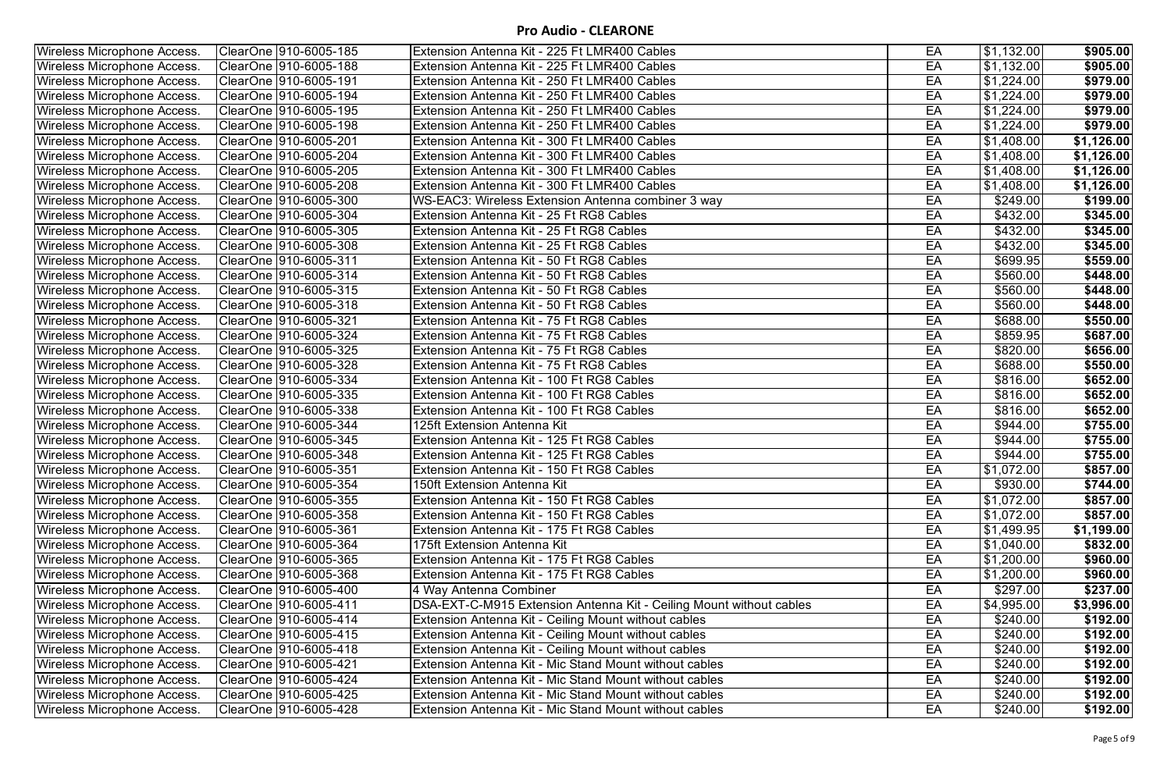| EA<br>$\overline{1,132.00}$<br>ClearOne 910-6005-185<br><b>Wireless Microphone Access.</b><br>Extension Antenna Kit - 225 Ft LMR400 Cables<br>$\sqrt{31,132.00}$<br>EA<br><b>Wireless Microphone Access.</b><br>ClearOne  910-6005-188<br>Extension Antenna Kit - 225 Ft LMR400 Cables<br>$\sqrt{31,224.00}$<br>Extension Antenna Kit - 250 Ft LMR400 Cables<br>EA<br>Wireless Microphone Access.<br>ClearOne  910-6005-191<br>$\sqrt{31,224.00}$<br>Wireless Microphone Access.<br>ClearOne 910-6005-194<br>EA<br>Extension Antenna Kit - 250 Ft LMR400 Cables<br>EA<br><b>Wireless Microphone Access.</b><br>ClearOne   910-6005-195<br>Extension Antenna Kit - 250 Ft LMR400 Cables<br>\$1,224.00<br>Wireless Microphone Access.<br>EA<br>\$1,224.00<br>ClearOne   910-6005-198<br>Extension Antenna Kit - 250 Ft LMR400 Cables<br>$\sqrt{31,408.00}$<br><b>Wireless Microphone Access.</b><br>ClearOne   910-6005-201<br>Extension Antenna Kit - 300 Ft LMR400 Cables<br>EA<br>$\overline{$}1,408.00$<br>EA<br><b>Wireless Microphone Access.</b><br>ClearOne  910-6005-204<br>Extension Antenna Kit - 300 Ft LMR400 Cables<br>EA<br>$\overline{\$1,408.00}$<br>Wireless Microphone Access.<br>ClearOne  910-6005-205<br>Extension Antenna Kit - 300 Ft LMR400 Cables<br>$\overline{\$1,}408.00$<br>ClearOne   910-6005-208<br>Extension Antenna Kit - 300 Ft LMR400 Cables<br>EA<br><b>Wireless Microphone Access.</b><br>Wireless Microphone Access.<br>ClearOne  910-6005-300<br>WS-EAC3: Wireless Extension Antenna combiner 3 way<br>EA<br>\$249.00<br>EA<br><b>Wireless Microphone Access.</b><br>ClearOne  910-6005-304<br>\$432.00<br>Extension Antenna Kit - 25 Ft RG8 Cables<br>EA<br>\$432.00<br><b>Wireless Microphone Access.</b><br>ClearOne   910-6005-305<br>Extension Antenna Kit - 25 Ft RG8 Cables<br>Wireless Microphone Access.<br>Extension Antenna Kit - 25 Ft RG8 Cables<br>EA<br>\$432.00<br>ClearOne   910-6005-308<br>EA<br><b>Wireless Microphone Access.</b><br>ClearOne  910-6005-311<br>Extension Antenna Kit - 50 Ft RG8 Cables<br>\$699.95<br>EA<br>ClearOne 910-6005-314<br>\$560.00<br>Wireless Microphone Access.<br>Extension Antenna Kit - 50 Ft RG8 Cables<br>EA<br>\$560.00<br><b>Wireless Microphone Access.</b><br>ClearOne   910-6005-315<br>Extension Antenna Kit - 50 Ft RG8 Cables<br>EA<br>\$560.00<br><b>Wireless Microphone Access.</b><br>ClearOne  910-6005-318<br>Extension Antenna Kit - 50 Ft RG8 Cables<br>EA<br>Wireless Microphone Access.<br>ClearOne   910-6005-321<br>Extension Antenna Kit - 75 Ft RG8 Cables<br>\$688.00<br>ClearOne 910-6005-324<br>\$859.95<br><b>Wireless Microphone Access.</b><br>Extension Antenna Kit - 75 Ft RG8 Cables<br>EA<br>\$687.00<br>EA<br>\$820.00<br>Extension Antenna Kit - 75 Ft RG8 Cables<br>Wireless Microphone Access.<br>ClearOne  910-6005-325<br>\$656.00<br>EA<br>\$688.00<br><b>Wireless Microphone Access.</b><br>ClearOne  910-6005-328<br>Extension Antenna Kit - 75 Ft RG8 Cables<br>EA<br>\$816.00<br>ClearOne 910-6005-334<br><b>Wireless Microphone Access.</b><br>Extension Antenna Kit - 100 Ft RG8 Cables<br>Wireless Microphone Access.<br>ClearOne 910-6005-335<br>Extension Antenna Kit - 100 Ft RG8 Cables<br>EA<br>\$816.00<br><b>Wireless Microphone Access.</b><br>\$816.00<br>Extension Antenna Kit - 100 Ft RG8 Cables<br>EA<br>EA<br>\$944.00<br>Wireless Microphone Access.<br>ClearOne   910-6005-344<br>125ft Extension Antenna Kit<br>Wireless Microphone Access.<br>$\sqrt{$944.00}$<br>ClearOne 910-6005-345<br>Extension Antenna Kit - 125 Ft RG8 Cables<br>EA<br>EA<br>\$944.00<br>Wireless Microphone Access.<br>ClearOne   910-6005-348<br>Extension Antenna Kit - 125 Ft RG8 Cables<br>\$1,072.00<br>ClearOne 910-6005-351<br>EA<br>Extension Antenna Kit - 150 Ft RG8 Cables<br>ClearOne  910-6005-354<br>EA<br>\$930.00<br>Wireless Microphone Access.<br>150ft Extension Antenna Kit<br>EA<br>\$1,072.00<br>ClearOne  910-6005-355<br>Extension Antenna Kit - 150 Ft RG8 Cables<br><b>Wireless Microphone Access.</b><br>EA<br>$\sqrt{31,072.00}$<br>Wireless Microphone Access.<br>ClearOne   910-6005-358<br>Extension Antenna Kit - 150 Ft RG8 Cables<br><b>Wireless Microphone Access.</b><br>Extension Antenna Kit - 175 Ft RG8 Cables<br>EA<br>\$1,499.95<br>ClearOne   910-6005-361<br>EA<br>$\overline{$1,040.00}$<br>Wireless Microphone Access.<br>ClearOne   910-6005-364<br>175ft Extension Antenna Kit<br>Extension Antenna Kit - 175 Ft RG8 Cables<br>\$1,200.00<br>Wireless Microphone Access.<br>ClearOne  910-6005-365<br>EA<br>$\overline{$1,200.00}$<br>Wireless Microphone Access.<br>ClearOne  910-6005-368<br>Extension Antenna Kit - 175 Ft RG8 Cables<br>EA<br>EA<br><b>Wireless Microphone Access.</b><br>ClearOne   910-6005-400<br>\$297.00<br>4 Way Antenna Combiner<br>ClearOne 910-6005-411<br>EA<br>\$4,995.00<br>Wireless Microphone Access.<br>DSA-EXT-C-M915 Extension Antenna Kit - Ceiling Mount without cables<br>Wireless Microphone Access.<br>ClearOne   910-6005-414<br>Extension Antenna Kit - Ceiling Mount without cables<br>EA<br>\$240.00<br><b>Wireless Microphone Access.</b><br>ClearOne  910-6005-415<br>Extension Antenna Kit - Ceiling Mount without cables<br>EA<br>\$240.00<br>\$240.00<br>Wireless Microphone Access.<br>ClearOne  910-6005-418<br>Extension Antenna Kit - Ceiling Mount without cables<br>EA<br>Wireless Microphone Access.<br>ClearOne   910-6005-421<br>Extension Antenna Kit - Mic Stand Mount without cables<br>EA<br>\$240.00<br>ClearOne   910-6005-424<br>Extension Antenna Kit - Mic Stand Mount without cables<br>EA<br>\$240.00<br><b>Wireless Microphone Access.</b><br>ClearOne 910-6005-425<br>Extension Antenna Kit - Mic Stand Mount without cables<br>EA<br>\$240.00<br><b>Wireless Microphone Access.</b><br><b>Wireless Microphone Access.</b><br>ClearOne 910-6005-428<br>Extension Antenna Kit - Mic Stand Mount without cables<br>EA<br>\$240.00 |                                    |  |  |            |
|------------------------------------------------------------------------------------------------------------------------------------------------------------------------------------------------------------------------------------------------------------------------------------------------------------------------------------------------------------------------------------------------------------------------------------------------------------------------------------------------------------------------------------------------------------------------------------------------------------------------------------------------------------------------------------------------------------------------------------------------------------------------------------------------------------------------------------------------------------------------------------------------------------------------------------------------------------------------------------------------------------------------------------------------------------------------------------------------------------------------------------------------------------------------------------------------------------------------------------------------------------------------------------------------------------------------------------------------------------------------------------------------------------------------------------------------------------------------------------------------------------------------------------------------------------------------------------------------------------------------------------------------------------------------------------------------------------------------------------------------------------------------------------------------------------------------------------------------------------------------------------------------------------------------------------------------------------------------------------------------------------------------------------------------------------------------------------------------------------------------------------------------------------------------------------------------------------------------------------------------------------------------------------------------------------------------------------------------------------------------------------------------------------------------------------------------------------------------------------------------------------------------------------------------------------------------------------------------------------------------------------------------------------------------------------------------------------------------------------------------------------------------------------------------------------------------------------------------------------------------------------------------------------------------------------------------------------------------------------------------------------------------------------------------------------------------------------------------------------------------------------------------------------------------------------------------------------------------------------------------------------------------------------------------------------------------------------------------------------------------------------------------------------------------------------------------------------------------------------------------------------------------------------------------------------------------------------------------------------------------------------------------------------------------------------------------------------------------------------------------------------------------------------------------------------------------------------------------------------------------------------------------------------------------------------------------------------------------------------------------------------------------------------------------------------------------------------------------------------------------------------------------------------------------------------------------------------------------------------------------------------------------------------------------------------------------------------------------------------------------------------------------------------------------------------------------------------------------------------------------------------------------------------------------------------------------------------------------------------------------------------------------------------------------------------------------------------------------------------------------------------------------------------------------------------------------------------------------------------------------------------------------------------------------------------------------------------------------------------------------------------------------------------------------------------------------------------------------------------------------------------------------------------------------------------------------------------------------------------------------------------------------------------------------------------------------------------------------------------------------------------------------------------------------------------------------------------------------------------------------------------------------------------------------------------------------------------------------------------------------------------------------------------------------------------------------------------------------------------------------------------------------------------------------------------------------------------------------------------------------------------------------------------------------------------------------------------------------------------------------|------------------------------------|--|--|------------|
|                                                                                                                                                                                                                                                                                                                                                                                                                                                                                                                                                                                                                                                                                                                                                                                                                                                                                                                                                                                                                                                                                                                                                                                                                                                                                                                                                                                                                                                                                                                                                                                                                                                                                                                                                                                                                                                                                                                                                                                                                                                                                                                                                                                                                                                                                                                                                                                                                                                                                                                                                                                                                                                                                                                                                                                                                                                                                                                                                                                                                                                                                                                                                                                                                                                                                                                                                                                                                                                                                                                                                                                                                                                                                                                                                                                                                                                                                                                                                                                                                                                                                                                                                                                                                                                                                                                                                                                                                                                                                                                                                                                                                                                                                                                                                                                                                                                                                                                                                                                                                                                                                                                                                                                                                                                                                                                                                                                                                                                                                                                                                                                                                                                                                                                                                                                                                                                                                                                                                                                                |                                    |  |  | \$905.00   |
|                                                                                                                                                                                                                                                                                                                                                                                                                                                                                                                                                                                                                                                                                                                                                                                                                                                                                                                                                                                                                                                                                                                                                                                                                                                                                                                                                                                                                                                                                                                                                                                                                                                                                                                                                                                                                                                                                                                                                                                                                                                                                                                                                                                                                                                                                                                                                                                                                                                                                                                                                                                                                                                                                                                                                                                                                                                                                                                                                                                                                                                                                                                                                                                                                                                                                                                                                                                                                                                                                                                                                                                                                                                                                                                                                                                                                                                                                                                                                                                                                                                                                                                                                                                                                                                                                                                                                                                                                                                                                                                                                                                                                                                                                                                                                                                                                                                                                                                                                                                                                                                                                                                                                                                                                                                                                                                                                                                                                                                                                                                                                                                                                                                                                                                                                                                                                                                                                                                                                                                                |                                    |  |  | \$905.00   |
|                                                                                                                                                                                                                                                                                                                                                                                                                                                                                                                                                                                                                                                                                                                                                                                                                                                                                                                                                                                                                                                                                                                                                                                                                                                                                                                                                                                                                                                                                                                                                                                                                                                                                                                                                                                                                                                                                                                                                                                                                                                                                                                                                                                                                                                                                                                                                                                                                                                                                                                                                                                                                                                                                                                                                                                                                                                                                                                                                                                                                                                                                                                                                                                                                                                                                                                                                                                                                                                                                                                                                                                                                                                                                                                                                                                                                                                                                                                                                                                                                                                                                                                                                                                                                                                                                                                                                                                                                                                                                                                                                                                                                                                                                                                                                                                                                                                                                                                                                                                                                                                                                                                                                                                                                                                                                                                                                                                                                                                                                                                                                                                                                                                                                                                                                                                                                                                                                                                                                                                                |                                    |  |  | \$979.00   |
|                                                                                                                                                                                                                                                                                                                                                                                                                                                                                                                                                                                                                                                                                                                                                                                                                                                                                                                                                                                                                                                                                                                                                                                                                                                                                                                                                                                                                                                                                                                                                                                                                                                                                                                                                                                                                                                                                                                                                                                                                                                                                                                                                                                                                                                                                                                                                                                                                                                                                                                                                                                                                                                                                                                                                                                                                                                                                                                                                                                                                                                                                                                                                                                                                                                                                                                                                                                                                                                                                                                                                                                                                                                                                                                                                                                                                                                                                                                                                                                                                                                                                                                                                                                                                                                                                                                                                                                                                                                                                                                                                                                                                                                                                                                                                                                                                                                                                                                                                                                                                                                                                                                                                                                                                                                                                                                                                                                                                                                                                                                                                                                                                                                                                                                                                                                                                                                                                                                                                                                                |                                    |  |  | \$979.00   |
|                                                                                                                                                                                                                                                                                                                                                                                                                                                                                                                                                                                                                                                                                                                                                                                                                                                                                                                                                                                                                                                                                                                                                                                                                                                                                                                                                                                                                                                                                                                                                                                                                                                                                                                                                                                                                                                                                                                                                                                                                                                                                                                                                                                                                                                                                                                                                                                                                                                                                                                                                                                                                                                                                                                                                                                                                                                                                                                                                                                                                                                                                                                                                                                                                                                                                                                                                                                                                                                                                                                                                                                                                                                                                                                                                                                                                                                                                                                                                                                                                                                                                                                                                                                                                                                                                                                                                                                                                                                                                                                                                                                                                                                                                                                                                                                                                                                                                                                                                                                                                                                                                                                                                                                                                                                                                                                                                                                                                                                                                                                                                                                                                                                                                                                                                                                                                                                                                                                                                                                                |                                    |  |  | \$979.00   |
|                                                                                                                                                                                                                                                                                                                                                                                                                                                                                                                                                                                                                                                                                                                                                                                                                                                                                                                                                                                                                                                                                                                                                                                                                                                                                                                                                                                                                                                                                                                                                                                                                                                                                                                                                                                                                                                                                                                                                                                                                                                                                                                                                                                                                                                                                                                                                                                                                                                                                                                                                                                                                                                                                                                                                                                                                                                                                                                                                                                                                                                                                                                                                                                                                                                                                                                                                                                                                                                                                                                                                                                                                                                                                                                                                                                                                                                                                                                                                                                                                                                                                                                                                                                                                                                                                                                                                                                                                                                                                                                                                                                                                                                                                                                                                                                                                                                                                                                                                                                                                                                                                                                                                                                                                                                                                                                                                                                                                                                                                                                                                                                                                                                                                                                                                                                                                                                                                                                                                                                                |                                    |  |  | \$979.00   |
|                                                                                                                                                                                                                                                                                                                                                                                                                                                                                                                                                                                                                                                                                                                                                                                                                                                                                                                                                                                                                                                                                                                                                                                                                                                                                                                                                                                                                                                                                                                                                                                                                                                                                                                                                                                                                                                                                                                                                                                                                                                                                                                                                                                                                                                                                                                                                                                                                                                                                                                                                                                                                                                                                                                                                                                                                                                                                                                                                                                                                                                                                                                                                                                                                                                                                                                                                                                                                                                                                                                                                                                                                                                                                                                                                                                                                                                                                                                                                                                                                                                                                                                                                                                                                                                                                                                                                                                                                                                                                                                                                                                                                                                                                                                                                                                                                                                                                                                                                                                                                                                                                                                                                                                                                                                                                                                                                                                                                                                                                                                                                                                                                                                                                                                                                                                                                                                                                                                                                                                                |                                    |  |  | \$1,126.00 |
|                                                                                                                                                                                                                                                                                                                                                                                                                                                                                                                                                                                                                                                                                                                                                                                                                                                                                                                                                                                                                                                                                                                                                                                                                                                                                                                                                                                                                                                                                                                                                                                                                                                                                                                                                                                                                                                                                                                                                                                                                                                                                                                                                                                                                                                                                                                                                                                                                                                                                                                                                                                                                                                                                                                                                                                                                                                                                                                                                                                                                                                                                                                                                                                                                                                                                                                                                                                                                                                                                                                                                                                                                                                                                                                                                                                                                                                                                                                                                                                                                                                                                                                                                                                                                                                                                                                                                                                                                                                                                                                                                                                                                                                                                                                                                                                                                                                                                                                                                                                                                                                                                                                                                                                                                                                                                                                                                                                                                                                                                                                                                                                                                                                                                                                                                                                                                                                                                                                                                                                                |                                    |  |  | \$1,126.00 |
|                                                                                                                                                                                                                                                                                                                                                                                                                                                                                                                                                                                                                                                                                                                                                                                                                                                                                                                                                                                                                                                                                                                                                                                                                                                                                                                                                                                                                                                                                                                                                                                                                                                                                                                                                                                                                                                                                                                                                                                                                                                                                                                                                                                                                                                                                                                                                                                                                                                                                                                                                                                                                                                                                                                                                                                                                                                                                                                                                                                                                                                                                                                                                                                                                                                                                                                                                                                                                                                                                                                                                                                                                                                                                                                                                                                                                                                                                                                                                                                                                                                                                                                                                                                                                                                                                                                                                                                                                                                                                                                                                                                                                                                                                                                                                                                                                                                                                                                                                                                                                                                                                                                                                                                                                                                                                                                                                                                                                                                                                                                                                                                                                                                                                                                                                                                                                                                                                                                                                                                                |                                    |  |  | \$1,126.00 |
|                                                                                                                                                                                                                                                                                                                                                                                                                                                                                                                                                                                                                                                                                                                                                                                                                                                                                                                                                                                                                                                                                                                                                                                                                                                                                                                                                                                                                                                                                                                                                                                                                                                                                                                                                                                                                                                                                                                                                                                                                                                                                                                                                                                                                                                                                                                                                                                                                                                                                                                                                                                                                                                                                                                                                                                                                                                                                                                                                                                                                                                                                                                                                                                                                                                                                                                                                                                                                                                                                                                                                                                                                                                                                                                                                                                                                                                                                                                                                                                                                                                                                                                                                                                                                                                                                                                                                                                                                                                                                                                                                                                                                                                                                                                                                                                                                                                                                                                                                                                                                                                                                                                                                                                                                                                                                                                                                                                                                                                                                                                                                                                                                                                                                                                                                                                                                                                                                                                                                                                                |                                    |  |  | \$1,126.00 |
|                                                                                                                                                                                                                                                                                                                                                                                                                                                                                                                                                                                                                                                                                                                                                                                                                                                                                                                                                                                                                                                                                                                                                                                                                                                                                                                                                                                                                                                                                                                                                                                                                                                                                                                                                                                                                                                                                                                                                                                                                                                                                                                                                                                                                                                                                                                                                                                                                                                                                                                                                                                                                                                                                                                                                                                                                                                                                                                                                                                                                                                                                                                                                                                                                                                                                                                                                                                                                                                                                                                                                                                                                                                                                                                                                                                                                                                                                                                                                                                                                                                                                                                                                                                                                                                                                                                                                                                                                                                                                                                                                                                                                                                                                                                                                                                                                                                                                                                                                                                                                                                                                                                                                                                                                                                                                                                                                                                                                                                                                                                                                                                                                                                                                                                                                                                                                                                                                                                                                                                                |                                    |  |  | \$199.00   |
|                                                                                                                                                                                                                                                                                                                                                                                                                                                                                                                                                                                                                                                                                                                                                                                                                                                                                                                                                                                                                                                                                                                                                                                                                                                                                                                                                                                                                                                                                                                                                                                                                                                                                                                                                                                                                                                                                                                                                                                                                                                                                                                                                                                                                                                                                                                                                                                                                                                                                                                                                                                                                                                                                                                                                                                                                                                                                                                                                                                                                                                                                                                                                                                                                                                                                                                                                                                                                                                                                                                                                                                                                                                                                                                                                                                                                                                                                                                                                                                                                                                                                                                                                                                                                                                                                                                                                                                                                                                                                                                                                                                                                                                                                                                                                                                                                                                                                                                                                                                                                                                                                                                                                                                                                                                                                                                                                                                                                                                                                                                                                                                                                                                                                                                                                                                                                                                                                                                                                                                                |                                    |  |  | \$345.00   |
|                                                                                                                                                                                                                                                                                                                                                                                                                                                                                                                                                                                                                                                                                                                                                                                                                                                                                                                                                                                                                                                                                                                                                                                                                                                                                                                                                                                                                                                                                                                                                                                                                                                                                                                                                                                                                                                                                                                                                                                                                                                                                                                                                                                                                                                                                                                                                                                                                                                                                                                                                                                                                                                                                                                                                                                                                                                                                                                                                                                                                                                                                                                                                                                                                                                                                                                                                                                                                                                                                                                                                                                                                                                                                                                                                                                                                                                                                                                                                                                                                                                                                                                                                                                                                                                                                                                                                                                                                                                                                                                                                                                                                                                                                                                                                                                                                                                                                                                                                                                                                                                                                                                                                                                                                                                                                                                                                                                                                                                                                                                                                                                                                                                                                                                                                                                                                                                                                                                                                                                                |                                    |  |  | \$345.00   |
|                                                                                                                                                                                                                                                                                                                                                                                                                                                                                                                                                                                                                                                                                                                                                                                                                                                                                                                                                                                                                                                                                                                                                                                                                                                                                                                                                                                                                                                                                                                                                                                                                                                                                                                                                                                                                                                                                                                                                                                                                                                                                                                                                                                                                                                                                                                                                                                                                                                                                                                                                                                                                                                                                                                                                                                                                                                                                                                                                                                                                                                                                                                                                                                                                                                                                                                                                                                                                                                                                                                                                                                                                                                                                                                                                                                                                                                                                                                                                                                                                                                                                                                                                                                                                                                                                                                                                                                                                                                                                                                                                                                                                                                                                                                                                                                                                                                                                                                                                                                                                                                                                                                                                                                                                                                                                                                                                                                                                                                                                                                                                                                                                                                                                                                                                                                                                                                                                                                                                                                                |                                    |  |  | \$345.00   |
|                                                                                                                                                                                                                                                                                                                                                                                                                                                                                                                                                                                                                                                                                                                                                                                                                                                                                                                                                                                                                                                                                                                                                                                                                                                                                                                                                                                                                                                                                                                                                                                                                                                                                                                                                                                                                                                                                                                                                                                                                                                                                                                                                                                                                                                                                                                                                                                                                                                                                                                                                                                                                                                                                                                                                                                                                                                                                                                                                                                                                                                                                                                                                                                                                                                                                                                                                                                                                                                                                                                                                                                                                                                                                                                                                                                                                                                                                                                                                                                                                                                                                                                                                                                                                                                                                                                                                                                                                                                                                                                                                                                                                                                                                                                                                                                                                                                                                                                                                                                                                                                                                                                                                                                                                                                                                                                                                                                                                                                                                                                                                                                                                                                                                                                                                                                                                                                                                                                                                                                                |                                    |  |  | \$559.00   |
|                                                                                                                                                                                                                                                                                                                                                                                                                                                                                                                                                                                                                                                                                                                                                                                                                                                                                                                                                                                                                                                                                                                                                                                                                                                                                                                                                                                                                                                                                                                                                                                                                                                                                                                                                                                                                                                                                                                                                                                                                                                                                                                                                                                                                                                                                                                                                                                                                                                                                                                                                                                                                                                                                                                                                                                                                                                                                                                                                                                                                                                                                                                                                                                                                                                                                                                                                                                                                                                                                                                                                                                                                                                                                                                                                                                                                                                                                                                                                                                                                                                                                                                                                                                                                                                                                                                                                                                                                                                                                                                                                                                                                                                                                                                                                                                                                                                                                                                                                                                                                                                                                                                                                                                                                                                                                                                                                                                                                                                                                                                                                                                                                                                                                                                                                                                                                                                                                                                                                                                                |                                    |  |  | \$448.00   |
|                                                                                                                                                                                                                                                                                                                                                                                                                                                                                                                                                                                                                                                                                                                                                                                                                                                                                                                                                                                                                                                                                                                                                                                                                                                                                                                                                                                                                                                                                                                                                                                                                                                                                                                                                                                                                                                                                                                                                                                                                                                                                                                                                                                                                                                                                                                                                                                                                                                                                                                                                                                                                                                                                                                                                                                                                                                                                                                                                                                                                                                                                                                                                                                                                                                                                                                                                                                                                                                                                                                                                                                                                                                                                                                                                                                                                                                                                                                                                                                                                                                                                                                                                                                                                                                                                                                                                                                                                                                                                                                                                                                                                                                                                                                                                                                                                                                                                                                                                                                                                                                                                                                                                                                                                                                                                                                                                                                                                                                                                                                                                                                                                                                                                                                                                                                                                                                                                                                                                                                                |                                    |  |  | \$448.00   |
|                                                                                                                                                                                                                                                                                                                                                                                                                                                                                                                                                                                                                                                                                                                                                                                                                                                                                                                                                                                                                                                                                                                                                                                                                                                                                                                                                                                                                                                                                                                                                                                                                                                                                                                                                                                                                                                                                                                                                                                                                                                                                                                                                                                                                                                                                                                                                                                                                                                                                                                                                                                                                                                                                                                                                                                                                                                                                                                                                                                                                                                                                                                                                                                                                                                                                                                                                                                                                                                                                                                                                                                                                                                                                                                                                                                                                                                                                                                                                                                                                                                                                                                                                                                                                                                                                                                                                                                                                                                                                                                                                                                                                                                                                                                                                                                                                                                                                                                                                                                                                                                                                                                                                                                                                                                                                                                                                                                                                                                                                                                                                                                                                                                                                                                                                                                                                                                                                                                                                                                                |                                    |  |  | \$448.00   |
|                                                                                                                                                                                                                                                                                                                                                                                                                                                                                                                                                                                                                                                                                                                                                                                                                                                                                                                                                                                                                                                                                                                                                                                                                                                                                                                                                                                                                                                                                                                                                                                                                                                                                                                                                                                                                                                                                                                                                                                                                                                                                                                                                                                                                                                                                                                                                                                                                                                                                                                                                                                                                                                                                                                                                                                                                                                                                                                                                                                                                                                                                                                                                                                                                                                                                                                                                                                                                                                                                                                                                                                                                                                                                                                                                                                                                                                                                                                                                                                                                                                                                                                                                                                                                                                                                                                                                                                                                                                                                                                                                                                                                                                                                                                                                                                                                                                                                                                                                                                                                                                                                                                                                                                                                                                                                                                                                                                                                                                                                                                                                                                                                                                                                                                                                                                                                                                                                                                                                                                                |                                    |  |  | \$550.00   |
|                                                                                                                                                                                                                                                                                                                                                                                                                                                                                                                                                                                                                                                                                                                                                                                                                                                                                                                                                                                                                                                                                                                                                                                                                                                                                                                                                                                                                                                                                                                                                                                                                                                                                                                                                                                                                                                                                                                                                                                                                                                                                                                                                                                                                                                                                                                                                                                                                                                                                                                                                                                                                                                                                                                                                                                                                                                                                                                                                                                                                                                                                                                                                                                                                                                                                                                                                                                                                                                                                                                                                                                                                                                                                                                                                                                                                                                                                                                                                                                                                                                                                                                                                                                                                                                                                                                                                                                                                                                                                                                                                                                                                                                                                                                                                                                                                                                                                                                                                                                                                                                                                                                                                                                                                                                                                                                                                                                                                                                                                                                                                                                                                                                                                                                                                                                                                                                                                                                                                                                                |                                    |  |  |            |
|                                                                                                                                                                                                                                                                                                                                                                                                                                                                                                                                                                                                                                                                                                                                                                                                                                                                                                                                                                                                                                                                                                                                                                                                                                                                                                                                                                                                                                                                                                                                                                                                                                                                                                                                                                                                                                                                                                                                                                                                                                                                                                                                                                                                                                                                                                                                                                                                                                                                                                                                                                                                                                                                                                                                                                                                                                                                                                                                                                                                                                                                                                                                                                                                                                                                                                                                                                                                                                                                                                                                                                                                                                                                                                                                                                                                                                                                                                                                                                                                                                                                                                                                                                                                                                                                                                                                                                                                                                                                                                                                                                                                                                                                                                                                                                                                                                                                                                                                                                                                                                                                                                                                                                                                                                                                                                                                                                                                                                                                                                                                                                                                                                                                                                                                                                                                                                                                                                                                                                                                |                                    |  |  |            |
|                                                                                                                                                                                                                                                                                                                                                                                                                                                                                                                                                                                                                                                                                                                                                                                                                                                                                                                                                                                                                                                                                                                                                                                                                                                                                                                                                                                                                                                                                                                                                                                                                                                                                                                                                                                                                                                                                                                                                                                                                                                                                                                                                                                                                                                                                                                                                                                                                                                                                                                                                                                                                                                                                                                                                                                                                                                                                                                                                                                                                                                                                                                                                                                                                                                                                                                                                                                                                                                                                                                                                                                                                                                                                                                                                                                                                                                                                                                                                                                                                                                                                                                                                                                                                                                                                                                                                                                                                                                                                                                                                                                                                                                                                                                                                                                                                                                                                                                                                                                                                                                                                                                                                                                                                                                                                                                                                                                                                                                                                                                                                                                                                                                                                                                                                                                                                                                                                                                                                                                                |                                    |  |  | \$550.00   |
|                                                                                                                                                                                                                                                                                                                                                                                                                                                                                                                                                                                                                                                                                                                                                                                                                                                                                                                                                                                                                                                                                                                                                                                                                                                                                                                                                                                                                                                                                                                                                                                                                                                                                                                                                                                                                                                                                                                                                                                                                                                                                                                                                                                                                                                                                                                                                                                                                                                                                                                                                                                                                                                                                                                                                                                                                                                                                                                                                                                                                                                                                                                                                                                                                                                                                                                                                                                                                                                                                                                                                                                                                                                                                                                                                                                                                                                                                                                                                                                                                                                                                                                                                                                                                                                                                                                                                                                                                                                                                                                                                                                                                                                                                                                                                                                                                                                                                                                                                                                                                                                                                                                                                                                                                                                                                                                                                                                                                                                                                                                                                                                                                                                                                                                                                                                                                                                                                                                                                                                                |                                    |  |  | \$652.00   |
|                                                                                                                                                                                                                                                                                                                                                                                                                                                                                                                                                                                                                                                                                                                                                                                                                                                                                                                                                                                                                                                                                                                                                                                                                                                                                                                                                                                                                                                                                                                                                                                                                                                                                                                                                                                                                                                                                                                                                                                                                                                                                                                                                                                                                                                                                                                                                                                                                                                                                                                                                                                                                                                                                                                                                                                                                                                                                                                                                                                                                                                                                                                                                                                                                                                                                                                                                                                                                                                                                                                                                                                                                                                                                                                                                                                                                                                                                                                                                                                                                                                                                                                                                                                                                                                                                                                                                                                                                                                                                                                                                                                                                                                                                                                                                                                                                                                                                                                                                                                                                                                                                                                                                                                                                                                                                                                                                                                                                                                                                                                                                                                                                                                                                                                                                                                                                                                                                                                                                                                                |                                    |  |  | \$652.00   |
|                                                                                                                                                                                                                                                                                                                                                                                                                                                                                                                                                                                                                                                                                                                                                                                                                                                                                                                                                                                                                                                                                                                                                                                                                                                                                                                                                                                                                                                                                                                                                                                                                                                                                                                                                                                                                                                                                                                                                                                                                                                                                                                                                                                                                                                                                                                                                                                                                                                                                                                                                                                                                                                                                                                                                                                                                                                                                                                                                                                                                                                                                                                                                                                                                                                                                                                                                                                                                                                                                                                                                                                                                                                                                                                                                                                                                                                                                                                                                                                                                                                                                                                                                                                                                                                                                                                                                                                                                                                                                                                                                                                                                                                                                                                                                                                                                                                                                                                                                                                                                                                                                                                                                                                                                                                                                                                                                                                                                                                                                                                                                                                                                                                                                                                                                                                                                                                                                                                                                                                                |                                    |  |  | \$652.00   |
|                                                                                                                                                                                                                                                                                                                                                                                                                                                                                                                                                                                                                                                                                                                                                                                                                                                                                                                                                                                                                                                                                                                                                                                                                                                                                                                                                                                                                                                                                                                                                                                                                                                                                                                                                                                                                                                                                                                                                                                                                                                                                                                                                                                                                                                                                                                                                                                                                                                                                                                                                                                                                                                                                                                                                                                                                                                                                                                                                                                                                                                                                                                                                                                                                                                                                                                                                                                                                                                                                                                                                                                                                                                                                                                                                                                                                                                                                                                                                                                                                                                                                                                                                                                                                                                                                                                                                                                                                                                                                                                                                                                                                                                                                                                                                                                                                                                                                                                                                                                                                                                                                                                                                                                                                                                                                                                                                                                                                                                                                                                                                                                                                                                                                                                                                                                                                                                                                                                                                                                                |                                    |  |  | \$755.00   |
|                                                                                                                                                                                                                                                                                                                                                                                                                                                                                                                                                                                                                                                                                                                                                                                                                                                                                                                                                                                                                                                                                                                                                                                                                                                                                                                                                                                                                                                                                                                                                                                                                                                                                                                                                                                                                                                                                                                                                                                                                                                                                                                                                                                                                                                                                                                                                                                                                                                                                                                                                                                                                                                                                                                                                                                                                                                                                                                                                                                                                                                                                                                                                                                                                                                                                                                                                                                                                                                                                                                                                                                                                                                                                                                                                                                                                                                                                                                                                                                                                                                                                                                                                                                                                                                                                                                                                                                                                                                                                                                                                                                                                                                                                                                                                                                                                                                                                                                                                                                                                                                                                                                                                                                                                                                                                                                                                                                                                                                                                                                                                                                                                                                                                                                                                                                                                                                                                                                                                                                                |                                    |  |  | \$755.00   |
|                                                                                                                                                                                                                                                                                                                                                                                                                                                                                                                                                                                                                                                                                                                                                                                                                                                                                                                                                                                                                                                                                                                                                                                                                                                                                                                                                                                                                                                                                                                                                                                                                                                                                                                                                                                                                                                                                                                                                                                                                                                                                                                                                                                                                                                                                                                                                                                                                                                                                                                                                                                                                                                                                                                                                                                                                                                                                                                                                                                                                                                                                                                                                                                                                                                                                                                                                                                                                                                                                                                                                                                                                                                                                                                                                                                                                                                                                                                                                                                                                                                                                                                                                                                                                                                                                                                                                                                                                                                                                                                                                                                                                                                                                                                                                                                                                                                                                                                                                                                                                                                                                                                                                                                                                                                                                                                                                                                                                                                                                                                                                                                                                                                                                                                                                                                                                                                                                                                                                                                                |                                    |  |  | \$755.00   |
|                                                                                                                                                                                                                                                                                                                                                                                                                                                                                                                                                                                                                                                                                                                                                                                                                                                                                                                                                                                                                                                                                                                                                                                                                                                                                                                                                                                                                                                                                                                                                                                                                                                                                                                                                                                                                                                                                                                                                                                                                                                                                                                                                                                                                                                                                                                                                                                                                                                                                                                                                                                                                                                                                                                                                                                                                                                                                                                                                                                                                                                                                                                                                                                                                                                                                                                                                                                                                                                                                                                                                                                                                                                                                                                                                                                                                                                                                                                                                                                                                                                                                                                                                                                                                                                                                                                                                                                                                                                                                                                                                                                                                                                                                                                                                                                                                                                                                                                                                                                                                                                                                                                                                                                                                                                                                                                                                                                                                                                                                                                                                                                                                                                                                                                                                                                                                                                                                                                                                                                                | <b>Wireless Microphone Access.</b> |  |  | \$857.00   |
|                                                                                                                                                                                                                                                                                                                                                                                                                                                                                                                                                                                                                                                                                                                                                                                                                                                                                                                                                                                                                                                                                                                                                                                                                                                                                                                                                                                                                                                                                                                                                                                                                                                                                                                                                                                                                                                                                                                                                                                                                                                                                                                                                                                                                                                                                                                                                                                                                                                                                                                                                                                                                                                                                                                                                                                                                                                                                                                                                                                                                                                                                                                                                                                                                                                                                                                                                                                                                                                                                                                                                                                                                                                                                                                                                                                                                                                                                                                                                                                                                                                                                                                                                                                                                                                                                                                                                                                                                                                                                                                                                                                                                                                                                                                                                                                                                                                                                                                                                                                                                                                                                                                                                                                                                                                                                                                                                                                                                                                                                                                                                                                                                                                                                                                                                                                                                                                                                                                                                                                                |                                    |  |  | \$744.00   |
|                                                                                                                                                                                                                                                                                                                                                                                                                                                                                                                                                                                                                                                                                                                                                                                                                                                                                                                                                                                                                                                                                                                                                                                                                                                                                                                                                                                                                                                                                                                                                                                                                                                                                                                                                                                                                                                                                                                                                                                                                                                                                                                                                                                                                                                                                                                                                                                                                                                                                                                                                                                                                                                                                                                                                                                                                                                                                                                                                                                                                                                                                                                                                                                                                                                                                                                                                                                                                                                                                                                                                                                                                                                                                                                                                                                                                                                                                                                                                                                                                                                                                                                                                                                                                                                                                                                                                                                                                                                                                                                                                                                                                                                                                                                                                                                                                                                                                                                                                                                                                                                                                                                                                                                                                                                                                                                                                                                                                                                                                                                                                                                                                                                                                                                                                                                                                                                                                                                                                                                                |                                    |  |  | \$857.00   |
|                                                                                                                                                                                                                                                                                                                                                                                                                                                                                                                                                                                                                                                                                                                                                                                                                                                                                                                                                                                                                                                                                                                                                                                                                                                                                                                                                                                                                                                                                                                                                                                                                                                                                                                                                                                                                                                                                                                                                                                                                                                                                                                                                                                                                                                                                                                                                                                                                                                                                                                                                                                                                                                                                                                                                                                                                                                                                                                                                                                                                                                                                                                                                                                                                                                                                                                                                                                                                                                                                                                                                                                                                                                                                                                                                                                                                                                                                                                                                                                                                                                                                                                                                                                                                                                                                                                                                                                                                                                                                                                                                                                                                                                                                                                                                                                                                                                                                                                                                                                                                                                                                                                                                                                                                                                                                                                                                                                                                                                                                                                                                                                                                                                                                                                                                                                                                                                                                                                                                                                                |                                    |  |  | \$857.00   |
|                                                                                                                                                                                                                                                                                                                                                                                                                                                                                                                                                                                                                                                                                                                                                                                                                                                                                                                                                                                                                                                                                                                                                                                                                                                                                                                                                                                                                                                                                                                                                                                                                                                                                                                                                                                                                                                                                                                                                                                                                                                                                                                                                                                                                                                                                                                                                                                                                                                                                                                                                                                                                                                                                                                                                                                                                                                                                                                                                                                                                                                                                                                                                                                                                                                                                                                                                                                                                                                                                                                                                                                                                                                                                                                                                                                                                                                                                                                                                                                                                                                                                                                                                                                                                                                                                                                                                                                                                                                                                                                                                                                                                                                                                                                                                                                                                                                                                                                                                                                                                                                                                                                                                                                                                                                                                                                                                                                                                                                                                                                                                                                                                                                                                                                                                                                                                                                                                                                                                                                                |                                    |  |  | \$1,199.00 |
|                                                                                                                                                                                                                                                                                                                                                                                                                                                                                                                                                                                                                                                                                                                                                                                                                                                                                                                                                                                                                                                                                                                                                                                                                                                                                                                                                                                                                                                                                                                                                                                                                                                                                                                                                                                                                                                                                                                                                                                                                                                                                                                                                                                                                                                                                                                                                                                                                                                                                                                                                                                                                                                                                                                                                                                                                                                                                                                                                                                                                                                                                                                                                                                                                                                                                                                                                                                                                                                                                                                                                                                                                                                                                                                                                                                                                                                                                                                                                                                                                                                                                                                                                                                                                                                                                                                                                                                                                                                                                                                                                                                                                                                                                                                                                                                                                                                                                                                                                                                                                                                                                                                                                                                                                                                                                                                                                                                                                                                                                                                                                                                                                                                                                                                                                                                                                                                                                                                                                                                                |                                    |  |  | \$832.00   |
|                                                                                                                                                                                                                                                                                                                                                                                                                                                                                                                                                                                                                                                                                                                                                                                                                                                                                                                                                                                                                                                                                                                                                                                                                                                                                                                                                                                                                                                                                                                                                                                                                                                                                                                                                                                                                                                                                                                                                                                                                                                                                                                                                                                                                                                                                                                                                                                                                                                                                                                                                                                                                                                                                                                                                                                                                                                                                                                                                                                                                                                                                                                                                                                                                                                                                                                                                                                                                                                                                                                                                                                                                                                                                                                                                                                                                                                                                                                                                                                                                                                                                                                                                                                                                                                                                                                                                                                                                                                                                                                                                                                                                                                                                                                                                                                                                                                                                                                                                                                                                                                                                                                                                                                                                                                                                                                                                                                                                                                                                                                                                                                                                                                                                                                                                                                                                                                                                                                                                                                                |                                    |  |  | \$960.00   |
|                                                                                                                                                                                                                                                                                                                                                                                                                                                                                                                                                                                                                                                                                                                                                                                                                                                                                                                                                                                                                                                                                                                                                                                                                                                                                                                                                                                                                                                                                                                                                                                                                                                                                                                                                                                                                                                                                                                                                                                                                                                                                                                                                                                                                                                                                                                                                                                                                                                                                                                                                                                                                                                                                                                                                                                                                                                                                                                                                                                                                                                                                                                                                                                                                                                                                                                                                                                                                                                                                                                                                                                                                                                                                                                                                                                                                                                                                                                                                                                                                                                                                                                                                                                                                                                                                                                                                                                                                                                                                                                                                                                                                                                                                                                                                                                                                                                                                                                                                                                                                                                                                                                                                                                                                                                                                                                                                                                                                                                                                                                                                                                                                                                                                                                                                                                                                                                                                                                                                                                                |                                    |  |  | \$960.00   |
|                                                                                                                                                                                                                                                                                                                                                                                                                                                                                                                                                                                                                                                                                                                                                                                                                                                                                                                                                                                                                                                                                                                                                                                                                                                                                                                                                                                                                                                                                                                                                                                                                                                                                                                                                                                                                                                                                                                                                                                                                                                                                                                                                                                                                                                                                                                                                                                                                                                                                                                                                                                                                                                                                                                                                                                                                                                                                                                                                                                                                                                                                                                                                                                                                                                                                                                                                                                                                                                                                                                                                                                                                                                                                                                                                                                                                                                                                                                                                                                                                                                                                                                                                                                                                                                                                                                                                                                                                                                                                                                                                                                                                                                                                                                                                                                                                                                                                                                                                                                                                                                                                                                                                                                                                                                                                                                                                                                                                                                                                                                                                                                                                                                                                                                                                                                                                                                                                                                                                                                                |                                    |  |  | \$237.00   |
|                                                                                                                                                                                                                                                                                                                                                                                                                                                                                                                                                                                                                                                                                                                                                                                                                                                                                                                                                                                                                                                                                                                                                                                                                                                                                                                                                                                                                                                                                                                                                                                                                                                                                                                                                                                                                                                                                                                                                                                                                                                                                                                                                                                                                                                                                                                                                                                                                                                                                                                                                                                                                                                                                                                                                                                                                                                                                                                                                                                                                                                                                                                                                                                                                                                                                                                                                                                                                                                                                                                                                                                                                                                                                                                                                                                                                                                                                                                                                                                                                                                                                                                                                                                                                                                                                                                                                                                                                                                                                                                                                                                                                                                                                                                                                                                                                                                                                                                                                                                                                                                                                                                                                                                                                                                                                                                                                                                                                                                                                                                                                                                                                                                                                                                                                                                                                                                                                                                                                                                                |                                    |  |  | \$3,996.00 |
|                                                                                                                                                                                                                                                                                                                                                                                                                                                                                                                                                                                                                                                                                                                                                                                                                                                                                                                                                                                                                                                                                                                                                                                                                                                                                                                                                                                                                                                                                                                                                                                                                                                                                                                                                                                                                                                                                                                                                                                                                                                                                                                                                                                                                                                                                                                                                                                                                                                                                                                                                                                                                                                                                                                                                                                                                                                                                                                                                                                                                                                                                                                                                                                                                                                                                                                                                                                                                                                                                                                                                                                                                                                                                                                                                                                                                                                                                                                                                                                                                                                                                                                                                                                                                                                                                                                                                                                                                                                                                                                                                                                                                                                                                                                                                                                                                                                                                                                                                                                                                                                                                                                                                                                                                                                                                                                                                                                                                                                                                                                                                                                                                                                                                                                                                                                                                                                                                                                                                                                                |                                    |  |  | \$192.00   |
|                                                                                                                                                                                                                                                                                                                                                                                                                                                                                                                                                                                                                                                                                                                                                                                                                                                                                                                                                                                                                                                                                                                                                                                                                                                                                                                                                                                                                                                                                                                                                                                                                                                                                                                                                                                                                                                                                                                                                                                                                                                                                                                                                                                                                                                                                                                                                                                                                                                                                                                                                                                                                                                                                                                                                                                                                                                                                                                                                                                                                                                                                                                                                                                                                                                                                                                                                                                                                                                                                                                                                                                                                                                                                                                                                                                                                                                                                                                                                                                                                                                                                                                                                                                                                                                                                                                                                                                                                                                                                                                                                                                                                                                                                                                                                                                                                                                                                                                                                                                                                                                                                                                                                                                                                                                                                                                                                                                                                                                                                                                                                                                                                                                                                                                                                                                                                                                                                                                                                                                                |                                    |  |  | \$192.00   |
|                                                                                                                                                                                                                                                                                                                                                                                                                                                                                                                                                                                                                                                                                                                                                                                                                                                                                                                                                                                                                                                                                                                                                                                                                                                                                                                                                                                                                                                                                                                                                                                                                                                                                                                                                                                                                                                                                                                                                                                                                                                                                                                                                                                                                                                                                                                                                                                                                                                                                                                                                                                                                                                                                                                                                                                                                                                                                                                                                                                                                                                                                                                                                                                                                                                                                                                                                                                                                                                                                                                                                                                                                                                                                                                                                                                                                                                                                                                                                                                                                                                                                                                                                                                                                                                                                                                                                                                                                                                                                                                                                                                                                                                                                                                                                                                                                                                                                                                                                                                                                                                                                                                                                                                                                                                                                                                                                                                                                                                                                                                                                                                                                                                                                                                                                                                                                                                                                                                                                                                                |                                    |  |  | \$192.00   |
|                                                                                                                                                                                                                                                                                                                                                                                                                                                                                                                                                                                                                                                                                                                                                                                                                                                                                                                                                                                                                                                                                                                                                                                                                                                                                                                                                                                                                                                                                                                                                                                                                                                                                                                                                                                                                                                                                                                                                                                                                                                                                                                                                                                                                                                                                                                                                                                                                                                                                                                                                                                                                                                                                                                                                                                                                                                                                                                                                                                                                                                                                                                                                                                                                                                                                                                                                                                                                                                                                                                                                                                                                                                                                                                                                                                                                                                                                                                                                                                                                                                                                                                                                                                                                                                                                                                                                                                                                                                                                                                                                                                                                                                                                                                                                                                                                                                                                                                                                                                                                                                                                                                                                                                                                                                                                                                                                                                                                                                                                                                                                                                                                                                                                                                                                                                                                                                                                                                                                                                                |                                    |  |  | \$192.00   |
|                                                                                                                                                                                                                                                                                                                                                                                                                                                                                                                                                                                                                                                                                                                                                                                                                                                                                                                                                                                                                                                                                                                                                                                                                                                                                                                                                                                                                                                                                                                                                                                                                                                                                                                                                                                                                                                                                                                                                                                                                                                                                                                                                                                                                                                                                                                                                                                                                                                                                                                                                                                                                                                                                                                                                                                                                                                                                                                                                                                                                                                                                                                                                                                                                                                                                                                                                                                                                                                                                                                                                                                                                                                                                                                                                                                                                                                                                                                                                                                                                                                                                                                                                                                                                                                                                                                                                                                                                                                                                                                                                                                                                                                                                                                                                                                                                                                                                                                                                                                                                                                                                                                                                                                                                                                                                                                                                                                                                                                                                                                                                                                                                                                                                                                                                                                                                                                                                                                                                                                                |                                    |  |  | \$192.00   |
|                                                                                                                                                                                                                                                                                                                                                                                                                                                                                                                                                                                                                                                                                                                                                                                                                                                                                                                                                                                                                                                                                                                                                                                                                                                                                                                                                                                                                                                                                                                                                                                                                                                                                                                                                                                                                                                                                                                                                                                                                                                                                                                                                                                                                                                                                                                                                                                                                                                                                                                                                                                                                                                                                                                                                                                                                                                                                                                                                                                                                                                                                                                                                                                                                                                                                                                                                                                                                                                                                                                                                                                                                                                                                                                                                                                                                                                                                                                                                                                                                                                                                                                                                                                                                                                                                                                                                                                                                                                                                                                                                                                                                                                                                                                                                                                                                                                                                                                                                                                                                                                                                                                                                                                                                                                                                                                                                                                                                                                                                                                                                                                                                                                                                                                                                                                                                                                                                                                                                                                                |                                    |  |  | \$192.00   |
|                                                                                                                                                                                                                                                                                                                                                                                                                                                                                                                                                                                                                                                                                                                                                                                                                                                                                                                                                                                                                                                                                                                                                                                                                                                                                                                                                                                                                                                                                                                                                                                                                                                                                                                                                                                                                                                                                                                                                                                                                                                                                                                                                                                                                                                                                                                                                                                                                                                                                                                                                                                                                                                                                                                                                                                                                                                                                                                                                                                                                                                                                                                                                                                                                                                                                                                                                                                                                                                                                                                                                                                                                                                                                                                                                                                                                                                                                                                                                                                                                                                                                                                                                                                                                                                                                                                                                                                                                                                                                                                                                                                                                                                                                                                                                                                                                                                                                                                                                                                                                                                                                                                                                                                                                                                                                                                                                                                                                                                                                                                                                                                                                                                                                                                                                                                                                                                                                                                                                                                                |                                    |  |  | \$192.00   |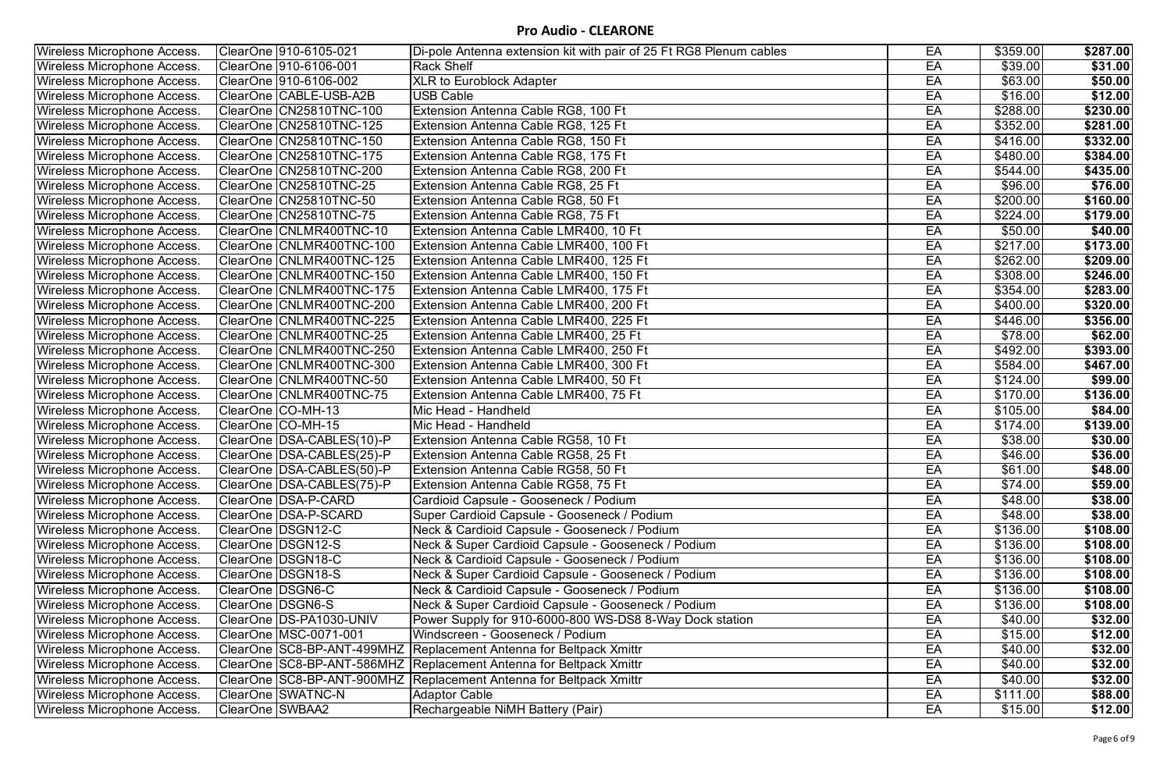| <b>Wireless Microphone Access.</b> | ClearOne 910-6105-021       | Di-pole Antenna extension kit with pair of 25 Ft RG8 Plenum cables | EA | \$359.00         | \$287.00 |
|------------------------------------|-----------------------------|--------------------------------------------------------------------|----|------------------|----------|
| <b>Wireless Microphone Access.</b> | ClearOne 910-6106-001       | <b>Rack Shelf</b>                                                  | EA | \$39.00          | \$31.00  |
| <b>Wireless Microphone Access.</b> | ClearOne 910-6106-002       | <b>XLR to Euroblock Adapter</b>                                    | EA | \$63.00          | \$50.00  |
| <b>Wireless Microphone Access.</b> | ClearOne CABLE-USB-A2B      | <b>USB Cable</b>                                                   | EA | \$16.00          | \$12.00  |
| <b>Wireless Microphone Access.</b> | ClearOne CN25810TNC-100     | Extension Antenna Cable RG8, 100 Ft                                | EA | \$288.00         | \$230.00 |
| <b>Wireless Microphone Access.</b> | ClearOne CN25810TNC-125     | Extension Antenna Cable RG8, 125 Ft                                | EA | \$352.00         | \$281.00 |
| <b>Wireless Microphone Access.</b> | ClearOne CN25810TNC-150     | Extension Antenna Cable RG8, 150 Ft                                | EA | \$416.00         | \$332.00 |
| <b>Wireless Microphone Access.</b> | ClearOne CN25810TNC-175     | Extension Antenna Cable RG8, 175 Ft                                | EA | \$480.00         | \$384.00 |
| <b>Wireless Microphone Access.</b> | ClearOne CN25810TNC-200     | Extension Antenna Cable RG8, 200 Ft                                | EA | \$544.00         | \$435.00 |
| <b>Wireless Microphone Access.</b> | ClearOne CN25810TNC-25      | Extension Antenna Cable RG8, 25 Ft                                 | EA | \$96.00          | \$76.00  |
| <b>Wireless Microphone Access.</b> | ClearOne CN25810TNC-50      | Extension Antenna Cable RG8, 50 Ft                                 | EA | \$200.00         | \$160.00 |
| <b>Wireless Microphone Access.</b> | ClearOne CN25810TNC-75      | Extension Antenna Cable RG8, 75 Ft                                 | EA | \$224.00         | \$179.00 |
| <b>Wireless Microphone Access.</b> | ClearOne CNLMR400TNC-10     | Extension Antenna Cable LMR400, 10 Ft                              | EA | \$50.00          | \$40.00  |
| <b>Wireless Microphone Access.</b> | ClearOne CNLMR400TNC-100    | Extension Antenna Cable LMR400, 100 Ft                             | EA | \$217.00         | \$173.00 |
| <b>Wireless Microphone Access.</b> | ClearOne CNLMR400TNC-125    | Extension Antenna Cable LMR400, 125 Ft                             | EA | \$262.00         | \$209.00 |
| <b>Wireless Microphone Access.</b> | ClearOne CNLMR400TNC-150    | Extension Antenna Cable LMR400, 150 Ft                             | EA | \$308.00         | \$246.00 |
| <b>Wireless Microphone Access.</b> | ClearOne CNLMR400TNC-175    | Extension Antenna Cable LMR400, 175 Ft                             | EA | \$354.00         | \$283.00 |
| <b>Wireless Microphone Access.</b> | ClearOne CNLMR400TNC-200    | Extension Antenna Cable LMR400, 200 Ft                             | EA | \$400.00]        | \$320.00 |
| <b>Wireless Microphone Access.</b> | ClearOne CNLMR400TNC-225    | Extension Antenna Cable LMR400, 225 Ft                             | EA | \$446.00         | \$356.00 |
| <b>Wireless Microphone Access.</b> | ClearOne CNLMR400TNC-25     | Extension Antenna Cable LMR400, 25 Ft                              | EA | \$78.00          | \$62.00  |
| <b>Wireless Microphone Access.</b> | ClearOne CNLMR400TNC-250    | Extension Antenna Cable LMR400, 250 Ft                             | EA | \$492.00         | \$393.00 |
| <b>Wireless Microphone Access.</b> | ClearOne CNLMR400TNC-300    | Extension Antenna Cable LMR400, 300 Ft                             | EA | \$584.00         | \$467.00 |
| <b>Wireless Microphone Access.</b> | ClearOne CNLMR400TNC-50     | Extension Antenna Cable LMR400, 50 Ft                              | EA | \$124.00         | \$99.00  |
| <b>Wireless Microphone Access.</b> | ClearOne CNLMR400TNC-75     | Extension Antenna Cable LMR400, 75 Ft                              | EA | \$170.00         | \$136.00 |
| <b>Wireless Microphone Access.</b> | ClearOne CO-MH-13           | Mic Head - Handheld                                                | EA | \$105.00         | \$84.00  |
| <b>Wireless Microphone Access.</b> | ClearOne CO-MH-15           | Mic Head - Handheld                                                | EA | \$174.00         | \$139.00 |
| <b>Wireless Microphone Access.</b> | ClearOne   DSA-CABLES(10)-P | Extension Antenna Cable RG58, 10 Ft                                | EA | \$38.00          | \$30.00  |
| <b>Wireless Microphone Access.</b> | ClearOne   DSA-CABLES(25)-P | Extension Antenna Cable RG58, 25 Ft                                | EA | \$46.00          | \$36.00  |
| <b>Wireless Microphone Access.</b> | ClearOne DSA-CABLES(50)-P   | <b>Extension Antenna Cable RG58, 50 Ft</b>                         | EA | \$61.00          | \$48.00  |
| <b>Wireless Microphone Access.</b> | ClearOne   DSA-CABLES(75)-P | Extension Antenna Cable RG58, 75 Ft                                | EA | \$74.00          | \$59.00  |
| <b>Wireless Microphone Access.</b> | ClearOne DSA-P-CARD         | Cardioid Capsule - Gooseneck / Podium                              | EA | \$48.00          | \$38.00  |
| <b>Wireless Microphone Access.</b> | ClearOne   DSA-P-SCARD      | Super Cardioid Capsule - Gooseneck / Podium                        | EA | \$48.00          | \$38.00  |
| Wireless Microphone Access.        | ClearOne   DSGN12-C         | Neck & Cardioid Capsule - Gooseneck / Podium                       | EA | \$136.00         | \$108.00 |
| <b>Wireless Microphone Access.</b> | ClearOne DSGN12-S           | Neck & Super Cardioid Capsule - Gooseneck / Podium                 | EA | $\sqrt{3136.00}$ | \$108.00 |
| <b>Wireless Microphone Access.</b> | ClearOne DSGN18-C           | Neck & Cardioid Capsule - Gooseneck / Podium                       | EA | \$136.00         | \$108.00 |
| <b>Wireless Microphone Access.</b> | ClearOne DSGN18-S           | Neck & Super Cardioid Capsule - Gooseneck / Podium                 | EA | \$136.00         | \$108.00 |
| <b>Wireless Microphone Access.</b> | ClearOne   DSGN6-C          | Neck & Cardioid Capsule - Gooseneck / Podium                       | EA | \$136.00         | \$108.00 |
| Wireless Microphone Access.        | ClearOne DSGN6-S            | Neck & Super Cardioid Capsule - Gooseneck / Podium                 | EA | \$136.00         | \$108.00 |
| <b>Wireless Microphone Access.</b> | ClearOne DS-PA1030-UNIV     | Power Supply for 910-6000-800 WS-DS8 8-Way Dock station            | EA | \$40.00          | \$32.00  |
| <b>Wireless Microphone Access.</b> | ClearOne   MSC-0071-001     | Windscreen - Gooseneck / Podium                                    | EA | \$15.00          | \$12.00  |
| <b>Wireless Microphone Access.</b> |                             | ClearOne SC8-BP-ANT-499MHZ Replacement Antenna for Beltpack Xmittr | EA | \$40.00          | \$32.00  |
| <b>Wireless Microphone Access.</b> |                             | ClearOne SC8-BP-ANT-586MHZ Replacement Antenna for Beltpack Xmittr | EA | \$40.00          | \$32.00  |
| Wireless Microphone Access.        | ClearOne SC8-BP-ANT-900MHZ  | Replacement Antenna for Beltpack Xmittr                            | EA | \$40.00          | \$32.00  |
| <b>Wireless Microphone Access.</b> | ClearOne SWATNC-N           | <b>Adaptor Cable</b>                                               | EA | \$111.00         | \$88.00  |
| <b>Wireless Microphone Access.</b> | ClearOne SWBAA2             | Rechargeable NiMH Battery (Pair)                                   | EA | \$15.00          | \$12.00  |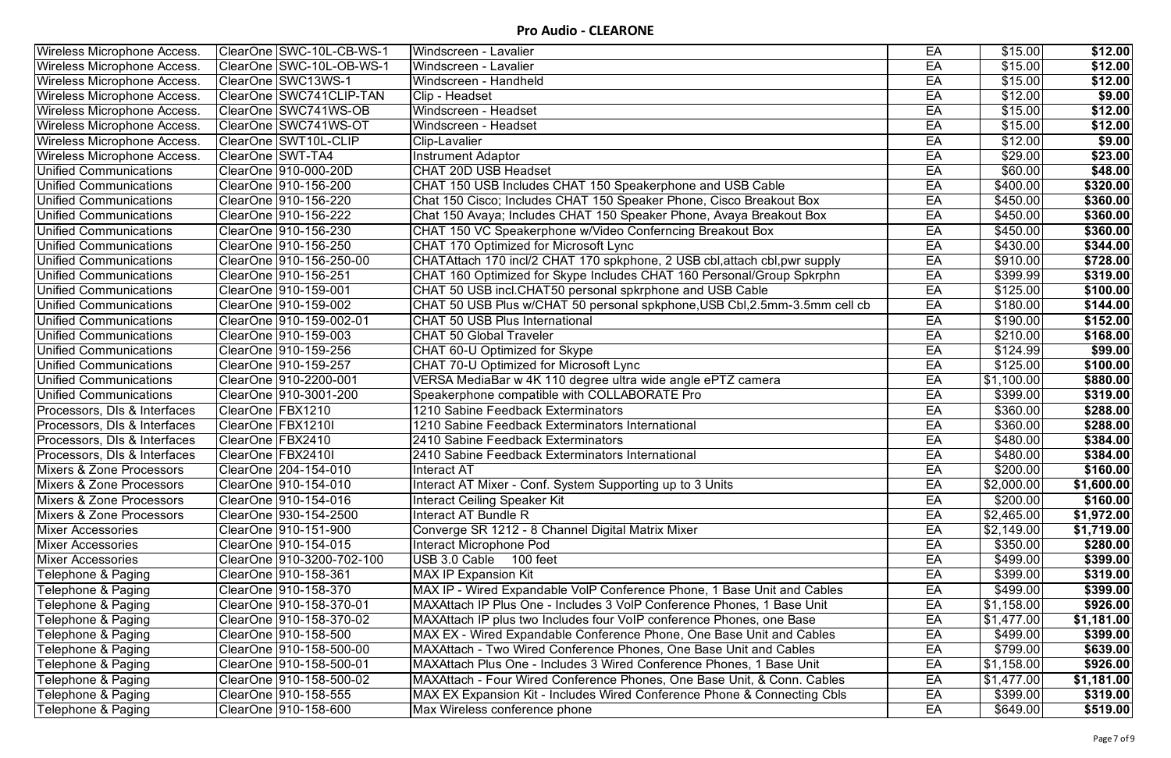| <b>Wireless Microphone Access.</b>  | ClearOne SWC-10L-CB-WS-1  | Windscreen - Lavalier                                                      | EA | \$15.00                 | \$12.00    |
|-------------------------------------|---------------------------|----------------------------------------------------------------------------|----|-------------------------|------------|
| <b>Wireless Microphone Access.</b>  | ClearOne SSWC-10L-OB-WS-1 | Windscreen - Lavalier                                                      | EA | \$15.00                 | \$12.00    |
| Wireless Microphone Access.         | ClearOne SWC13WS-1        | Windscreen - Handheld                                                      | EA | \$15.00                 | \$12.00    |
| Wireless Microphone Access.         | ClearOne SWC741CLIP-TAN   | Clip - Headset                                                             | EA | \$12.00                 | \$9.00     |
| <b>Wireless Microphone Access.</b>  | ClearOne SWC741WS-OB      | Windscreen - Headset                                                       | EA | \$15.00                 | \$12.00    |
| Wireless Microphone Access.         | ClearOne SWC741WS-OT      | Windscreen - Headset                                                       | EA | \$15.00                 | \$12.00    |
| <b>Wireless Microphone Access.</b>  | ClearOne SWT10L-CLIP      | <b>Clip-Lavalier</b>                                                       | EA | \$12.00                 | \$9.00     |
| <b>Wireless Microphone Access.</b>  | ClearOne SWT-TA4          | Instrument Adaptor                                                         | EA | \$29.00                 | \$23.00    |
| <b>Unified Communications</b>       | ClearOne  910-000-20D     | <b>CHAT 20D USB Headset</b>                                                | EA | \$60.00                 | \$48.00    |
| <b>Unified Communications</b>       | ClearOne  910-156-200     | CHAT 150 USB Includes CHAT 150 Speakerphone and USB Cable                  | EA | \$400.00                | \$320.00   |
| <b>Unified Communications</b>       | ClearOne  910-156-220     | Chat 150 Cisco; Includes CHAT 150 Speaker Phone, Cisco Breakout Box        | EA | $\overline{$450.00}$    | \$360.00   |
| <b>Unified Communications</b>       | ClearOne  910-156-222     | Chat 150 Avaya; Includes CHAT 150 Speaker Phone, Avaya Breakout Box        | EA | \$450.00                | \$360.00   |
| <b>Unified Communications</b>       | ClearOne  910-156-230     | CHAT 150 VC Speakerphone w/Video Conferncing Breakout Box                  | EA | \$450.00                | \$360.00   |
| <b>Unified Communications</b>       | ClearOne   910-156-250    | CHAT 170 Optimized for Microsoft Lync                                      | EA | \$430.00                | \$344.00   |
| <b>Unified Communications</b>       | ClearOne   910-156-250-00 | CHATAttach 170 incl/2 CHAT 170 spkphone, 2 USB cbl, attach cbl, pwr supply | EA | \$910.00                | \$728.00   |
| <b>Unified Communications</b>       | ClearOne  910-156-251     | CHAT 160 Optimized for Skype Includes CHAT 160 Personal/Group Spkrphn      | EA | \$399.99                | \$319.00   |
| <b>Unified Communications</b>       | ClearOne   910-159-001    | CHAT 50 USB incl.CHAT50 personal spkrphone and USB Cable                   | EA | $\sqrt{$125.00}$        | \$100.00   |
| <b>Unified Communications</b>       | ClearOne  910-159-002     | CHAT 50 USB Plus w/CHAT 50 personal spkphone, USB Cbl, 2.5mm-3.5mm cell cb | EA | \$180.00                | \$144.00   |
| <b>Unified Communications</b>       | ClearOne  910-159-002-01  | <b>CHAT 50 USB Plus International</b>                                      | EA | $\sqrt{3190.00}$        | \$152.00   |
| <b>Unified Communications</b>       | ClearOne  910-159-003     | <b>CHAT 50 Global Traveler</b>                                             | EA | $\sqrt{$210.00}$        | \$168.00   |
| <b>Unified Communications</b>       | ClearOne  910-159-256     | CHAT 60-U Optimized for Skype                                              | EA | \$124.99                | \$99.00    |
| <b>Unified Communications</b>       | ClearOne   910-159-257    | CHAT 70-U Optimized for Microsoft Lync                                     | EA | $\sqrt{$125.00}$        | \$100.00   |
| <b>Unified Communications</b>       | ClearOne  910-2200-001    | VERSA MediaBar w 4K 110 degree ultra wide angle ePTZ camera                | EA | $\overline{\$1,100.00}$ | \$880.00   |
| <b>Unified Communications</b>       | ClearOne   910-3001-200   | Speakerphone compatible with COLLABORATE Pro                               | EA | \$399.00                | \$319.00   |
| Processors, DIs & Interfaces        | ClearOne   FBX1210        | 1210 Sabine Feedback Exterminators                                         | EA | \$360.00                | \$288.00   |
| Processors, DIs & Interfaces        | ClearOne FBX1210I         | 1210 Sabine Feedback Exterminators International                           | EA | $\sqrt{3360.00}$        | \$288.00   |
| Processors, DIs & Interfaces        | ClearOne   FBX2410        | 2410 Sabine Feedback Exterminators                                         | EA | \$480.00                | \$384.00   |
| Processors, DIs & Interfaces        | ClearOne FBX2410I         | 2410 Sabine Feedback Exterminators International                           | EA | \$480.00                | \$384.00   |
| Mixers & Zone Processors            | ClearOne 204-154-010      | Interact AT                                                                | EA | \$200.00                | \$160.00   |
| Mixers & Zone Processors            | ClearOne   910-154-010    | Interact AT Mixer - Conf. System Supporting up to 3 Units                  | EA | \$2,000.00              | \$1,600.00 |
| Mixers & Zone Processors            | ClearOne 910-154-016      | <b>Interact Ceiling Speaker Kit</b>                                        | EA | \$200.00                | \$160.00   |
| <b>Mixers &amp; Zone Processors</b> | ClearOne   930-154-2500   | Interact AT Bundle R                                                       | EA | \$2,465.00              | \$1,972.00 |
| <b>Mixer Accessories</b>            | ClearOne  910-151-900     | Converge SR 1212 - 8 Channel Digital Matrix Mixer                          | EA | \$2,149.00              | \$1,719.00 |
| <b>Mixer Accessories</b>            | ClearOne  910-154-015     | Interact Microphone Pod                                                    | EA | $\sqrt{3350.00}$        | \$280.00   |
| <b>Mixer Accessories</b>            |                           | USB 3.0 Cable 100 feet                                                     | EA | \$499.00                | \$399.00   |
| Telephone & Paging                  |                           | <b>MAX IP Expansion Kit</b>                                                | EA | \$399.00                | \$319.00   |
| Telephone & Paging                  | ClearOne  910-158-370     | MAX IP - Wired Expandable VoIP Conference Phone, 1 Base Unit and Cables    | EA | \$499.00                | \$399.00   |
| Telephone & Paging                  | ClearOne  910-158-370-01  | MAXAttach IP Plus One - Includes 3 VoIP Conference Phones, 1 Base Unit     | EA | $\overline{$}1,158.00$  | \$926.00   |
| Telephone & Paging                  | ClearOne  910-158-370-02  | MAXAttach IP plus two Includes four VoIP conference Phones, one Base       | EA | \$1,477.00              | \$1,181.00 |
| Telephone & Paging                  | ClearOne  910-158-500     | MAX EX - Wired Expandable Conference Phone, One Base Unit and Cables       | EA | \$499.00                | \$399.00   |
| Telephone & Paging                  | ClearOne  910-158-500-00  | MAXAttach - Two Wired Conference Phones, One Base Unit and Cables          | EA | \$799.00                | \$639.00   |
| Telephone & Paging                  | ClearOne  910-158-500-01  | MAXAttach Plus One - Includes 3 Wired Conference Phones, 1 Base Unit       | EA | \$1,158.00              | \$926.00   |
| Telephone & Paging                  | ClearOne  910-158-500-02  | MAXAttach - Four Wired Conference Phones, One Base Unit, & Conn. Cables    | EA | \$1,477.00              | \$1,181.00 |
| Telephone & Paging                  | ClearOne  910-158-555     | MAX EX Expansion Kit - Includes Wired Conference Phone & Connecting Cbls   | EA | \$399.00                | \$319.00   |
| Telephone & Paging                  | ClearOne  910-158-600     | Max Wireless conference phone                                              | EA | \$649.00                | \$519.00   |
|                                     |                           |                                                                            |    |                         |            |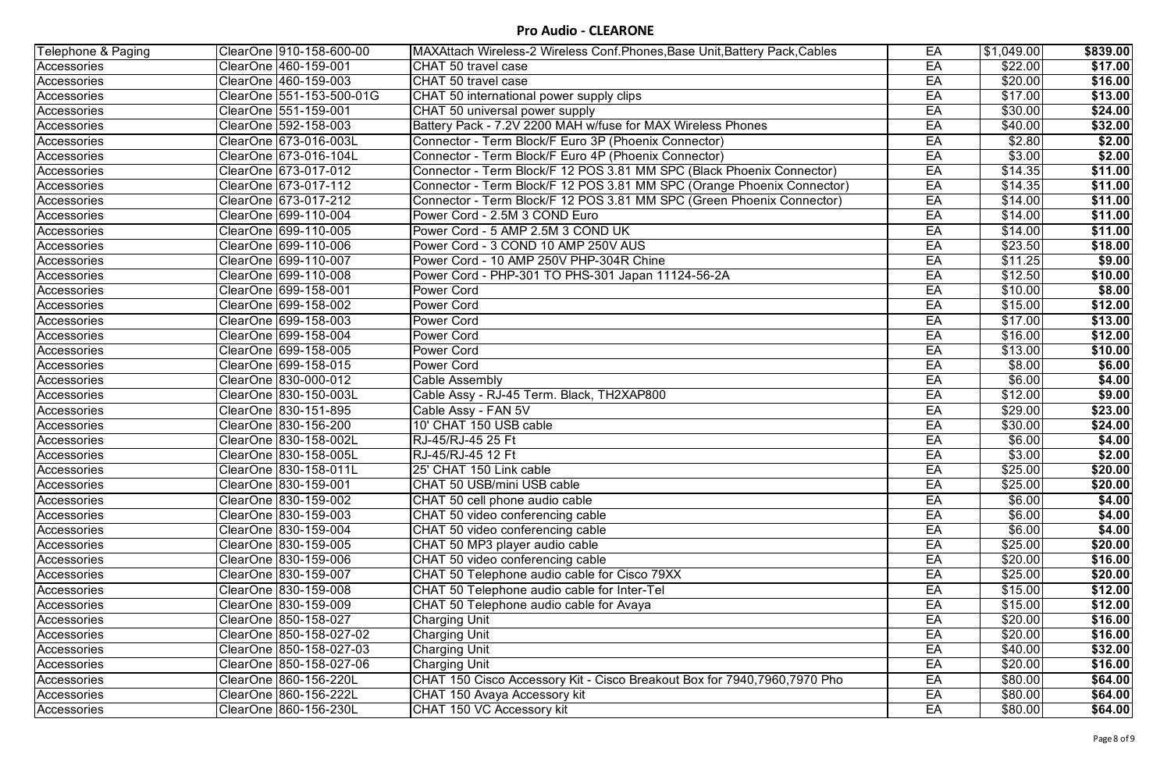| Telephone & Paging | ClearOne   910-158-600-00 | MAXAttach Wireless-2 Wireless Conf. Phones, Base Unit, Battery Pack, Cables | EA | $\sqrt{31,049.00}$ | \$839.00 |
|--------------------|---------------------------|-----------------------------------------------------------------------------|----|--------------------|----------|
| Accessories        | ClearOne 460-159-001      | CHAT 50 travel case                                                         | EA | \$22.00            | \$17.00  |
| Accessories        | ClearOne 460-159-003      | CHAT 50 travel case                                                         | EA | \$20.00            | \$16.00  |
| Accessories        | ClearOne 551-153-500-01G  | CHAT 50 international power supply clips                                    | EA | \$17.00            | \$13.00  |
| Accessories        | ClearOne 551-159-001      | CHAT 50 universal power supply                                              | EA | \$30.00            | \$24.00  |
| Accessories        | ClearOne   592-158-003    | Battery Pack - 7.2V 2200 MAH w/fuse for MAX Wireless Phones                 | EA | \$40.00            | \$32.00  |
| Accessories        | ClearOne 673-016-003L     | Connector - Term Block/F Euro 3P (Phoenix Connector)                        | EA | \$2.80             | \$2.00   |
| Accessories        | ClearOne 673-016-104L     | Connector - Term Block/F Euro 4P (Phoenix Connector)                        | EA | \$3.00             | \$2.00   |
| Accessories        | ClearOne 673-017-012      | Connector - Term Block/F 12 POS 3.81 MM SPC (Black Phoenix Connector)       | EA | \$14.35            | \$11.00  |
| Accessories        | ClearOne   673-017-112    | Connector - Term Block/F 12 POS 3.81 MM SPC (Orange Phoenix Connector)      | EA | \$14.35            | \$11.00  |
| Accessories        | ClearOne 673-017-212      | Connector - Term Block/F 12 POS 3.81 MM SPC (Green Phoenix Connector)       | EA | \$14.00            | \$11.00  |
| Accessories        | ClearOne 699-110-004      | Power Cord - 2.5M 3 COND Euro                                               | EA | \$14.00            | \$11.00  |
| Accessories        | ClearOne 699-110-005      | Power Cord - 5 AMP 2.5M 3 COND UK                                           | EA | $\sqrt{$14.00}$    | \$11.00  |
| Accessories        | ClearOne 699-110-006      | Power Cord - 3 COND 10 AMP 250V AUS                                         | EA | \$23.50            | \$18.00  |
| Accessories        | ClearOne   699-110-007    | Power Cord - 10 AMP 250V PHP-304R Chine                                     | EA | \$11.25            | \$9.00   |
| Accessories        | ClearOne 699-110-008      | Power Cord - PHP-301 TO PHS-301 Japan 11124-56-2A                           | EA | \$12.50            | \$10.00  |
| Accessories        | ClearOne 699-158-001      | Power Cord                                                                  | EA | \$10.00            | \$8.00   |
| Accessories        | ClearOne 699-158-002      | Power Cord                                                                  | EA | \$15.00            | \$12.00  |
| Accessories        | ClearOne 699-158-003      | Power Cord                                                                  | EA | \$17.00            | \$13.00  |
| Accessories        | ClearOne 699-158-004      | Power Cord                                                                  | EA | \$16.00            | \$12.00  |
| Accessories        | ClearOne 699-158-005      | <b>Power Cord</b>                                                           | EA | \$13.00            | \$10.00  |
| Accessories        | ClearOne   699-158-015    | Power Cord                                                                  | EA | \$8.00             | \$6.00   |
| Accessories        | ClearOne 830-000-012      | Cable Assembly                                                              | EA | \$6.00             | \$4.00   |
| Accessories        | ClearOne 830-150-003L     | Cable Assy - RJ-45 Term. Black, TH2XAP800                                   | EA | \$12.00            | \$9.00   |
| Accessories        | ClearOne 830-151-895      | Cable Assy - FAN 5V                                                         | EA | \$29.00            | \$23.00  |
| Accessories        | ClearOne 830-156-200      | 10' CHAT 150 USB cable                                                      | EA | \$30.00            | \$24.00  |
| Accessories        | ClearOne 830-158-002L     | RJ-45/RJ-45 25 Ft                                                           | EA | \$6.00             | \$4.00   |
| Accessories        | ClearOne 830-158-005L     | RJ-45/RJ-45 12 Ft                                                           | EA | \$3.00             | \$2.00   |
| Accessories        | ClearOne 830-158-011L     | 25' CHAT 150 Link cable                                                     | EA | \$25.00            | \$20.00  |
| Accessories        | ClearOne   830-159-001    | CHAT 50 USB/mini USB cable                                                  | EA | \$25.00            | \$20.00  |
| Accessories        | ClearOne 830-159-002      | CHAT 50 cell phone audio cable                                              | EA | \$6.00             | \$4.00   |
| Accessories        | ClearOne   830-159-003    | CHAT 50 video conferencing cable                                            | EA | \$6.00             | \$4.00   |
| Accessories        | ClearOne   830-159-004    | CHAT 50 video conferencing cable                                            | EA | \$6.00             | \$4.00   |
| Accessories        | ClearOne 830-159-005      | CHAT 50 MP3 player audio cable                                              | EA | \$25.00            | \$20.00  |
| Accessories        | ClearOne 830-159-006      | CHAT 50 video conferencing cable                                            | EA | \$20.00            | \$16.00  |
| Accessories        | ClearOne 830-159-007      | CHAT 50 Telephone audio cable for Cisco 79XX                                | EA | \$25.00            | \$20.00  |
| Accessories        | ClearOne 830-159-008      | CHAT 50 Telephone audio cable for Inter-Tel                                 | EA | \$15.00            | \$12.00  |
| Accessories        | ClearOne   830-159-009    | CHAT 50 Telephone audio cable for Avaya                                     | EA | \$15.00            | \$12.00  |
| Accessories        | ClearOne 850-158-027      | <b>Charging Unit</b>                                                        | EA | \$20.00            | \$16.00  |
| Accessories        | ClearOne 850-158-027-02   | <b>Charging Unit</b>                                                        | EA | \$20.00            | \$16.00  |
| Accessories        | ClearOne 850-158-027-03   | <b>Charging Unit</b>                                                        | EA | \$40.00            | \$32.00  |
| Accessories        | ClearOne 850-158-027-06   | <b>Charging Unit</b>                                                        | EA | \$20.00            | \$16.00  |
| Accessories        | ClearOne 860-156-220L     | CHAT 150 Cisco Accessory Kit - Cisco Breakout Box for 7940, 7960, 7970 Pho  | EA | \$80.00            | \$64.00  |
| Accessories        | ClearOne 860-156-222L     | CHAT 150 Avaya Accessory kit                                                | EA | \$80.00            | \$64.00  |
| Accessories        | ClearOne 860-156-230L     | CHAT 150 VC Accessory kit                                                   | EA | \$80.00            | \$64.00  |